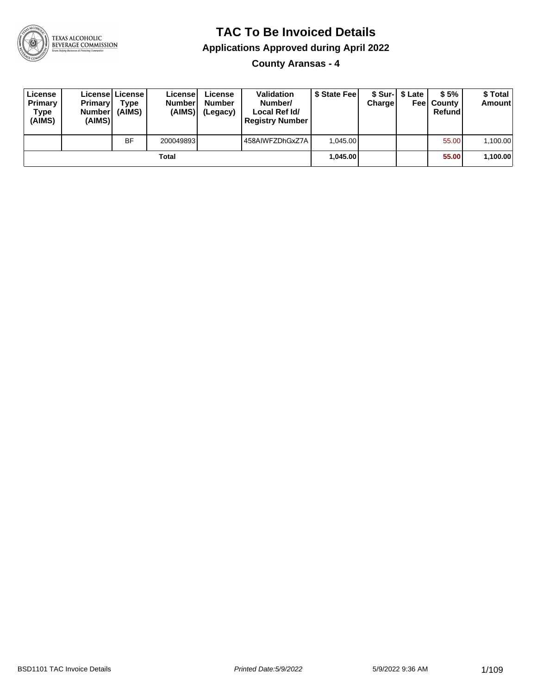

### **TAC To Be Invoiced Details**

**Applications Approved during April 2022**

**County Aransas - 4**

| License<br>Primary<br>Type<br>(AIMS) | <b>Primary</b><br><b>Number</b><br>(AIMS) | Licensel License I<br><b>Type</b><br>(AIMS) | License<br><b>Number</b><br>(AIMS) | License<br><b>Number</b><br>(Legacy) | <b>Validation</b><br>Number/<br>Local Ref Id/<br><b>Registry Number</b> | \$ State Feel | Charge | \$ Sur-1 \$ Late | \$5%<br><b>Feel County</b><br>Refund | \$ Total<br><b>Amount</b> |
|--------------------------------------|-------------------------------------------|---------------------------------------------|------------------------------------|--------------------------------------|-------------------------------------------------------------------------|---------------|--------|------------------|--------------------------------------|---------------------------|
|                                      |                                           | BF                                          | 200049893                          |                                      | 458AIWFZDhGxZ7A                                                         | 1.045.00      |        |                  | 55.00                                | 1,100.00                  |
|                                      |                                           |                                             | Total                              |                                      |                                                                         | 1,045.00      |        |                  | 55.00                                | 1,100.00                  |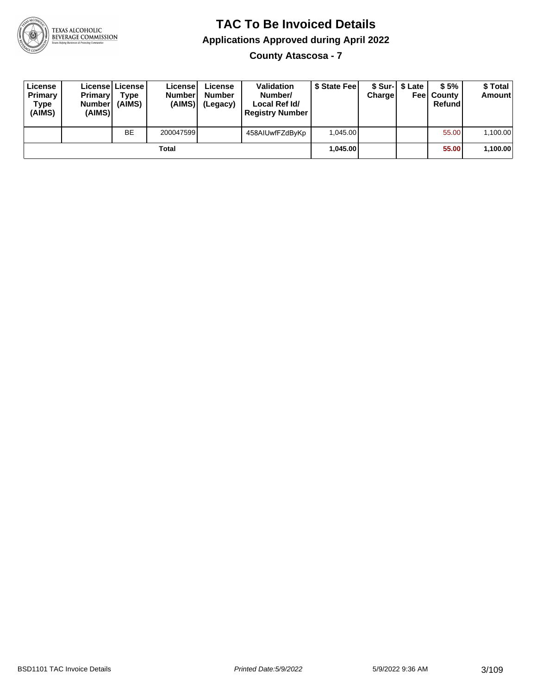

**County Atascosa - 7**

| License<br>Primary<br>Type<br>(AIMS) | <b>Primary</b><br><b>Number</b><br>(AIMS) | License   License  <br>Type<br>(AIMS) | License<br><b>Number</b><br>(AIMS) | License<br><b>Number</b><br>(Legacy) | <b>Validation</b><br>Number/<br>Local Ref Id/<br><b>Registry Number</b> | \$ State Fee | Charge | \$ Sur-1 \$ Late | \$5%<br><b>Feel County</b><br>Refund | \$ Total<br><b>Amount</b> |
|--------------------------------------|-------------------------------------------|---------------------------------------|------------------------------------|--------------------------------------|-------------------------------------------------------------------------|--------------|--------|------------------|--------------------------------------|---------------------------|
|                                      |                                           | <b>BE</b>                             | 200047599                          |                                      | 458AIUwfFZdByKp                                                         | 1.045.00     |        |                  | 55.00                                | 1,100.00                  |
|                                      |                                           |                                       | Total                              |                                      |                                                                         | 1.045.00     |        |                  | 55.00                                | 1,100.00                  |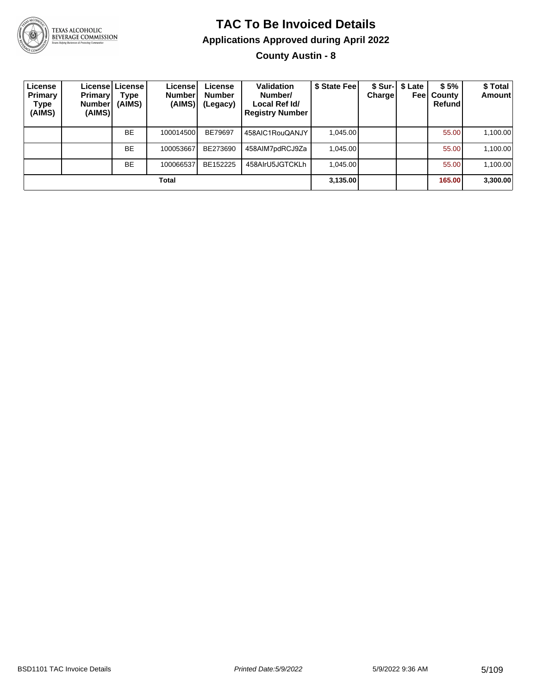

# **TAC To Be Invoiced Details Applications Approved during April 2022**

**County Austin - 8**

| License<br>Primary<br>Type<br>(AIMS) | <b>Primary</b><br>Number <sup>'</sup><br>(AIMS) | License   License  <br>Type<br>(AIMS) | License!<br><b>Number</b><br>(AIMS) | License<br><b>Number</b><br>(Legacy) | <b>Validation</b><br>Number/<br>Local Ref Id/<br><b>Registry Number</b> | \$ State Fee | Chargel | \$ Sur-1 \$ Late<br>Feel | \$5%<br>County<br>Refund | \$ Total<br><b>Amount</b> |
|--------------------------------------|-------------------------------------------------|---------------------------------------|-------------------------------------|--------------------------------------|-------------------------------------------------------------------------|--------------|---------|--------------------------|--------------------------|---------------------------|
|                                      |                                                 | <b>BE</b>                             | 100014500                           | BE79697                              | 458AIC1RouQANJY                                                         | 1.045.00     |         |                          | 55.00                    | 1,100.00                  |
|                                      |                                                 | <b>BE</b>                             | 100053667                           | BE273690                             | 458AIM7pdRCJ9Za                                                         | 1.045.00     |         |                          | 55.00                    | 1,100.00                  |
|                                      |                                                 | <b>BE</b>                             | 100066537                           | BE152225                             | 458AlrU5JGTCKLh                                                         | 1.045.00     |         |                          | 55.00                    | 1,100.00                  |
|                                      |                                                 |                                       | Total                               |                                      |                                                                         | 3,135.00     |         |                          | 165.00                   | 3,300.00                  |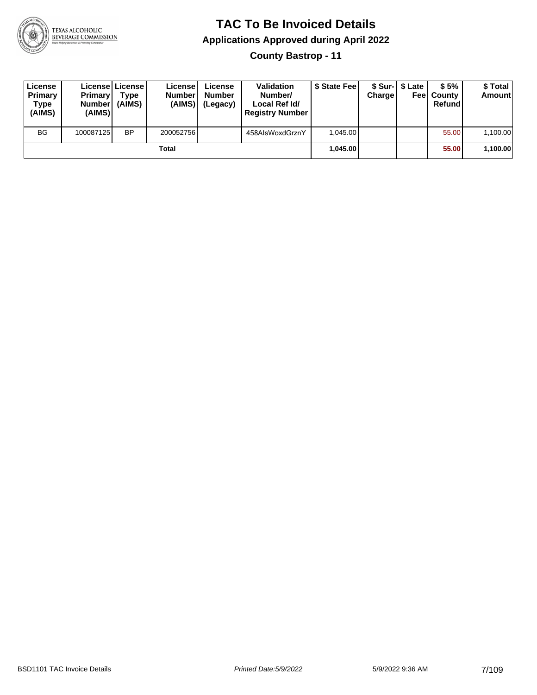

### **TAC To Be Invoiced Details Applications Approved during April 2022 County Bastrop - 11**

| License<br>Primary<br><b>Type</b><br>(AIMS) | <b>Primary</b><br><b>Number</b><br>(AIMS) | Licensel License I<br><b>Type</b><br>(AIMS) | Licensel<br><b>Numberl</b><br>(AIMS) | License<br><b>Number</b><br>(Legacy) | <b>Validation</b><br>Number/<br>Local Ref Id/<br><b>Registry Number</b> | \$ State Fee | <b>Charge</b> | \$ Sur-I \$ Late | \$5%<br><b>Feel County</b><br>Refund | \$ Total<br><b>Amount</b> |
|---------------------------------------------|-------------------------------------------|---------------------------------------------|--------------------------------------|--------------------------------------|-------------------------------------------------------------------------|--------------|---------------|------------------|--------------------------------------|---------------------------|
| <b>BG</b>                                   | 100087125                                 | <b>BP</b>                                   | 200052756                            |                                      | 458AlsWoxdGrznY                                                         | 1.045.00     |               |                  | 55.00                                | 1.100.00                  |
|                                             |                                           |                                             | Total                                |                                      |                                                                         | 1,045.00     |               |                  | 55.00                                | 1,100.00                  |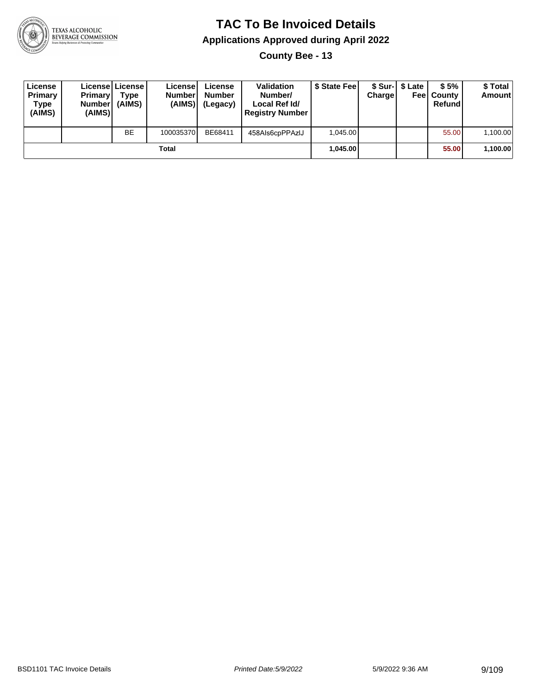

**County Bee - 13**

| License<br>Primary<br>Type<br>(AIMS) | <b>Primary</b><br><b>Number</b><br>(AIMS) | License   License  <br>Type<br>(AIMS) | License<br><b>Numberl</b><br>(AIMS) | License<br><b>Number</b><br>(Legacy) | <b>Validation</b><br>Number/<br>Local Ref Id/<br><b>Registry Number</b> | \$ State Fee | Charge | \$ Sur-1 \$ Late | \$5%<br><b>Feel County</b><br>Refundl | \$ Total<br>Amount |
|--------------------------------------|-------------------------------------------|---------------------------------------|-------------------------------------|--------------------------------------|-------------------------------------------------------------------------|--------------|--------|------------------|---------------------------------------|--------------------|
|                                      |                                           | <b>BE</b>                             | 100035370                           | BE68411                              | 458Als6cpPPAzIJ                                                         | 1.045.00     |        |                  | 55.00                                 | 1,100.00           |
|                                      |                                           |                                       | Total                               |                                      |                                                                         | 1.045.00     |        |                  | 55.00                                 | 1,100.00           |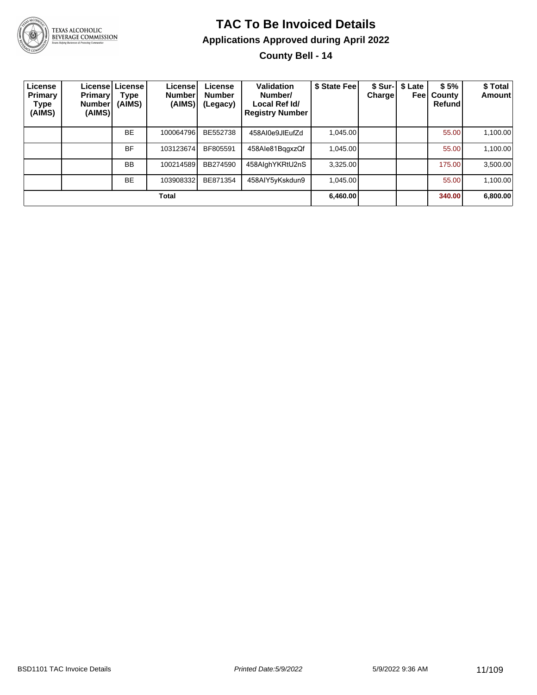

# **TAC To Be Invoiced Details Applications Approved during April 2022**

**County Bell - 14**

| License<br>Primary<br>Type<br>(AIMS) | <b>Primary</b><br><b>Number</b><br>(AIMS) | License   License  <br>Type<br>(AIMS) | License!<br><b>Number</b><br>(AIMS) | License<br><b>Number</b><br>(Legacy) | Validation<br>Number/<br>Local Ref Id/<br><b>Registry Number</b> | \$ State Fee | <b>Charge</b> | \$ Sur-   \$ Late<br>Feel | \$5%<br>County<br>Refund | \$ Total<br><b>Amount</b> |
|--------------------------------------|-------------------------------------------|---------------------------------------|-------------------------------------|--------------------------------------|------------------------------------------------------------------|--------------|---------------|---------------------------|--------------------------|---------------------------|
|                                      |                                           | <b>BE</b>                             | 100064796                           | BE552738                             | 458AI0e9JIEufZd                                                  | 1.045.00     |               |                           | 55.00                    | 1,100.00                  |
|                                      |                                           | <b>BF</b>                             | 103123674                           | BF805591                             | 458Ale81BggxzQf                                                  | 1.045.00     |               |                           | 55.00                    | 1,100.00                  |
|                                      |                                           | <b>BB</b>                             | 100214589                           | BB274590                             | 458AlghYKRtU2nS                                                  | 3,325.00     |               |                           | 175.00                   | 3,500.00                  |
|                                      |                                           | <b>BE</b>                             | 103908332                           | BE871354                             | 458AIY5yKskdun9                                                  | 1.045.00     |               |                           | 55.00                    | 1,100.00                  |
|                                      |                                           |                                       | Total                               |                                      |                                                                  | 6,460.00     |               |                           | 340.00                   | 6,800.00                  |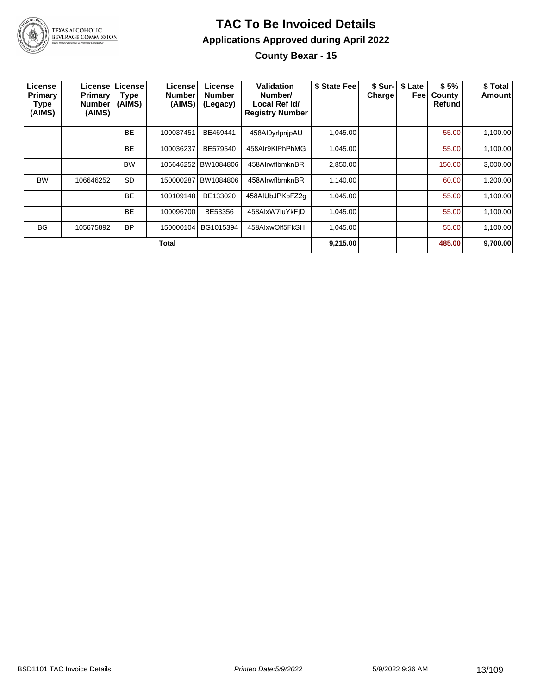

### **TAC To Be Invoiced Details Applications Approved during April 2022 County Bexar - 15**

| License<br>Primary<br>Type<br>(AIMS) | <b>Primary</b><br><b>Number</b><br>(AIMS) | Licensel License<br><b>Type</b><br>(AIMS) | License<br><b>Number</b><br>(AIMS) | License<br><b>Number</b><br>(Legacy) | Validation<br>Number/<br>Local Ref Id/<br><b>Registry Number</b> | \$ State Fee | <b>Charge</b> | \$ Sur-   \$ Late<br>Feel | \$5%<br>County<br>Refund | \$ Total<br>Amount |
|--------------------------------------|-------------------------------------------|-------------------------------------------|------------------------------------|--------------------------------------|------------------------------------------------------------------|--------------|---------------|---------------------------|--------------------------|--------------------|
|                                      |                                           | <b>BE</b>                                 | 100037451                          | BE469441                             | 458Al0yrlpnjpAU                                                  | 1,045.00     |               |                           | 55.00                    | 1,100.00           |
|                                      |                                           | <b>BE</b>                                 | 100036237                          | BE579540                             | 458Alr9KIPhPhMG                                                  | 1,045.00     |               |                           | 55.00                    | 1,100.00           |
|                                      |                                           | <b>BW</b>                                 | 106646252                          | BW1084806                            | 458AlrwflbmknBR                                                  | 2,850.00     |               |                           | 150.00                   | 3,000.00           |
| <b>BW</b>                            | 106646252                                 | <b>SD</b>                                 | 150000287                          | BW1084806                            | 458AlrwflbmknBR                                                  | 1,140.00     |               |                           | 60.00                    | 1,200.00           |
|                                      |                                           | <b>BE</b>                                 | 100109148                          | BE133020                             | 458AIUbJPKbFZ2q                                                  | 1.045.00     |               |                           | 55.00                    | 1,100.00           |
|                                      |                                           | <b>BE</b>                                 | 100096700                          | BE53356                              | 458AlxW7luYkFjD                                                  | 1,045.00     |               |                           | 55.00                    | 1,100.00           |
| <b>BG</b>                            | 105675892                                 | <b>BP</b>                                 | 150000104                          | BG1015394                            | 458AlxwOlf5FkSH                                                  | 1.045.00     |               |                           | 55.00                    | 1,100.00           |
|                                      |                                           |                                           | Total                              |                                      |                                                                  | 9,215.00     |               |                           | 485.00                   | 9,700.00           |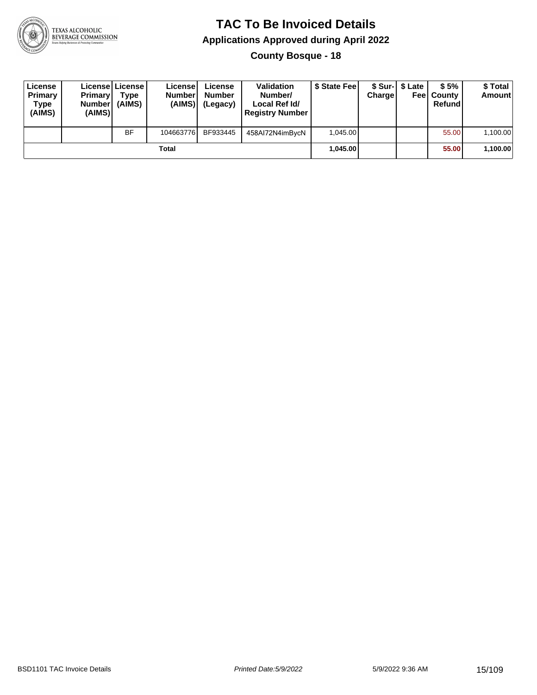

**County Bosque - 18**

| License<br>Primary<br>Type<br>(AIMS) | <b>Primary</b><br>Number<br>(AIMS) | License   License  <br>Type<br>(AIMS) | License<br><b>Number</b><br>(AIMS) | License<br><b>Number</b><br>(Legacy) | <b>Validation</b><br>Number/<br>Local Ref Id/<br><b>Registry Number</b> | \$ State Feel | Charge | \$ Sur-1 \$ Late | \$5%<br><b>Feel County</b><br>Refund | \$ Total<br><b>Amount</b> |
|--------------------------------------|------------------------------------|---------------------------------------|------------------------------------|--------------------------------------|-------------------------------------------------------------------------|---------------|--------|------------------|--------------------------------------|---------------------------|
|                                      |                                    | <b>BF</b>                             | 104663776                          | BF933445                             | 458AI72N4imBycN                                                         | 1.045.00      |        |                  | 55.00                                | 1,100.00                  |
|                                      |                                    |                                       | Total                              |                                      |                                                                         | 1.045.00      |        |                  | 55.00                                | 1,100.00                  |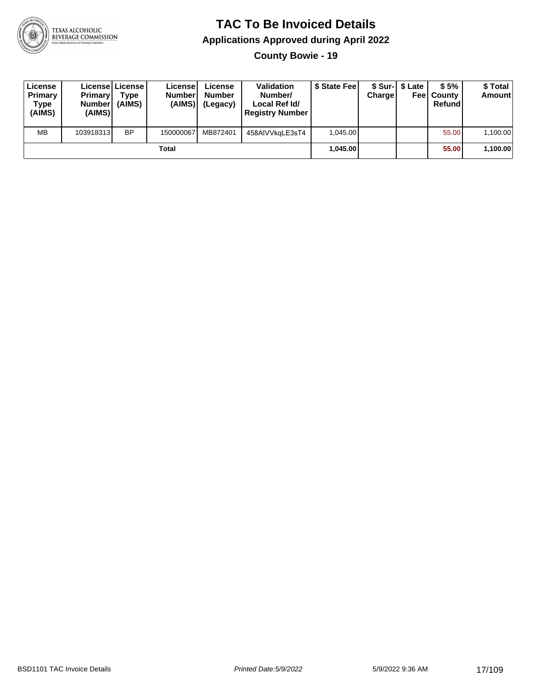

**County Bowie - 19**

| License<br>Primary<br>Type<br>(AIMS) | <b>Primary</b><br>Number<br>(AIMS) | License   License  <br>Type<br>(AIMS) | Licensel<br><b>Number</b><br>(AIMS) | License<br><b>Number</b><br>(Legacy) | <b>Validation</b><br>Number/<br>Local Ref Id/<br><b>Registry Number</b> | \$ State Fee | Charge | \$ Sur-1 \$ Late | \$5%<br><b>Feel County</b><br>Refund | \$ Total<br>Amount |
|--------------------------------------|------------------------------------|---------------------------------------|-------------------------------------|--------------------------------------|-------------------------------------------------------------------------|--------------|--------|------------------|--------------------------------------|--------------------|
| <b>MB</b>                            | 103918313                          | BP                                    | 150000067                           | MB872401                             | 458AIVVkaLE3sT4                                                         | 1.045.00     |        |                  | 55.00                                | 1,100.00           |
|                                      |                                    |                                       | Total                               |                                      |                                                                         | 1.045.00     |        |                  | 55.00                                | 1,100.00           |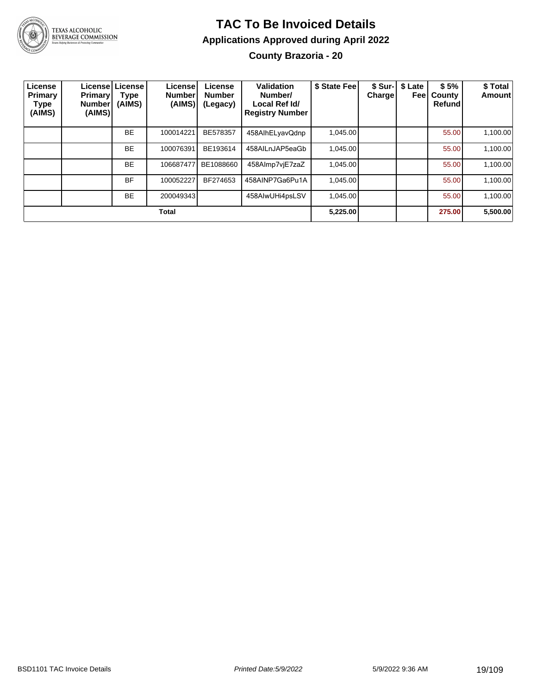

### **TAC To Be Invoiced Details Applications Approved during April 2022 County Brazoria - 20**

| License<br>Primary<br>Type<br>(AIMS) | <b>Primary</b><br><b>Number</b><br>(AIMS) | License License<br>Type<br>(AIMS) | License<br><b>Number</b><br>(AIMS) | License<br><b>Number</b><br>(Legacy) | Validation<br>Number/<br>Local Ref Id/<br><b>Registry Number</b> | \$ State Fee | Charge | \$ Sur-   \$ Late<br>Feel | \$5%<br>County<br><b>Refund</b> | \$ Total<br>Amount |
|--------------------------------------|-------------------------------------------|-----------------------------------|------------------------------------|--------------------------------------|------------------------------------------------------------------|--------------|--------|---------------------------|---------------------------------|--------------------|
|                                      |                                           | <b>BE</b>                         | 100014221                          | BE578357                             | 458AlhELyavQdnp                                                  | 1,045.00     |        |                           | 55.00                           | 1,100.00           |
|                                      |                                           | <b>BE</b>                         | 100076391                          | BE193614                             | 458AILnJAP5eaGb                                                  | 1.045.00     |        |                           | 55.00                           | 1,100.00           |
|                                      |                                           | <b>BE</b>                         | 106687477                          | BE1088660                            | 458Almp7vjE7zaZ                                                  | 1,045.00     |        |                           | 55.00                           | 1,100.00           |
|                                      |                                           | <b>BF</b>                         | 100052227                          | BF274653                             | 458AINP7Ga6Pu1A                                                  | 1,045.00     |        |                           | 55.00                           | 1,100.00           |
|                                      |                                           | <b>BE</b>                         | 200049343                          |                                      | 458AlwUHi4psLSV                                                  | 1,045.00     |        |                           | 55.00                           | 1,100.00           |
|                                      |                                           |                                   | <b>Total</b>                       |                                      |                                                                  | 5,225.00     |        |                           | 275.00                          | 5,500.00           |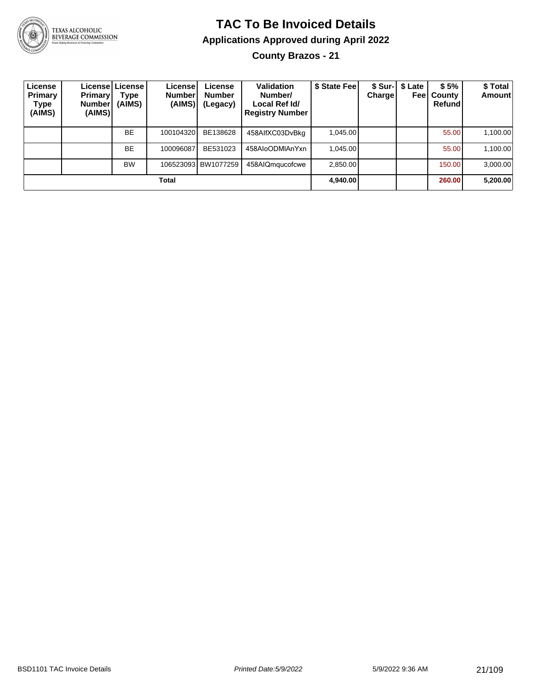

## **TAC To Be Invoiced Details Applications Approved during April 2022**

**County Brazos - 21**

| License<br><b>Primary</b><br>Type<br>(AIMS) | <b>Primary</b><br><b>Number</b><br>(AIMS) | Licensel License I<br>Type<br>(AIMS) | License!<br><b>Number</b><br>(AIMS) | License<br><b>Number</b><br>(Legacy) | Validation<br>Number/<br>Local Ref Id/<br><b>Registry Number</b> | \$ State Feel | <b>Charge</b> | \$ Sur-   \$ Late<br>Feel | \$5%<br>County<br>Refund | \$Total<br><b>Amount</b> |
|---------------------------------------------|-------------------------------------------|--------------------------------------|-------------------------------------|--------------------------------------|------------------------------------------------------------------|---------------|---------------|---------------------------|--------------------------|--------------------------|
|                                             |                                           | <b>BE</b>                            | 100104320                           | BE138628                             | 458AlfXC03DvBkg                                                  | 1,045.00      |               |                           | 55.00                    | 1,100.00                 |
|                                             |                                           | <b>BE</b>                            | 100096087                           | BE531023                             | 458AloODMIAnYxn                                                  | 1.045.00      |               |                           | 55.00                    | 1,100.00                 |
|                                             |                                           | <b>BW</b>                            |                                     | 106523093 BW1077259                  | 458AIQmqucofcwe                                                  | 2.850.00      |               |                           | 150.00                   | 3,000.00                 |
|                                             |                                           |                                      | Total                               |                                      |                                                                  | 4,940.00      |               |                           | 260.00                   | 5,200.00                 |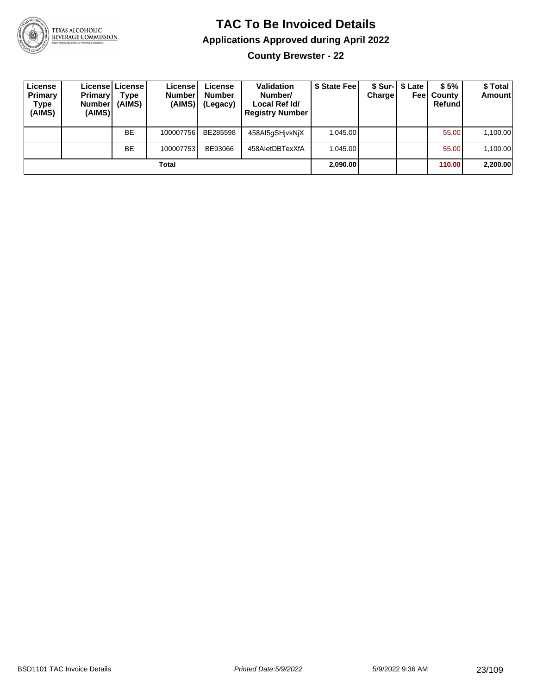

**County Brewster - 22**

| License<br>Primary<br>Type<br>(AIMS) | <b>Primary</b><br><b>Number</b><br>(AIMS) | Licensel License I<br>Type<br>(AIMS) | License<br><b>Number</b><br>(AIMS) | License<br><b>Number</b><br>(Legacy) | <b>Validation</b><br>Number/<br>Local Ref Id/<br><b>Registry Number</b> | \$ State Fee | Charge | \$ Sur-1 \$ Late<br>Feel | \$5%<br>County<br>Refund | \$ Total<br><b>Amount</b> |
|--------------------------------------|-------------------------------------------|--------------------------------------|------------------------------------|--------------------------------------|-------------------------------------------------------------------------|--------------|--------|--------------------------|--------------------------|---------------------------|
|                                      |                                           | <b>BE</b>                            | 100007756                          | BE285598                             | 458AI5qSHjvkNjX                                                         | 1.045.00     |        |                          | 55.00                    | 1,100.00                  |
|                                      |                                           | <b>BE</b>                            | 100007753                          | BE93066                              | 458AletDBTexXfA                                                         | 1.045.00     |        |                          | 55.00                    | 1,100.00                  |
|                                      |                                           |                                      | Total                              |                                      |                                                                         | 2,090.00     |        |                          | 110.00                   | 2,200.00                  |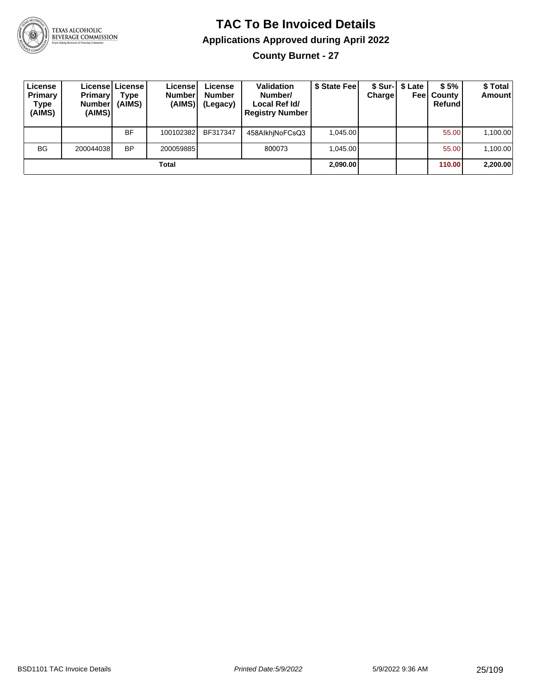

### **TAC To Be Invoiced Details Applications Approved during April 2022 County Burnet - 27**

| License<br>Primary<br><b>Type</b><br>(AIMS) | <b>Primary</b><br><b>Number</b><br>(AIMS) | Licensel License I<br><b>Type</b><br>(AIMS) | License<br><b>Number</b><br>(AIMS) | License<br><b>Number</b><br>(Legacy) | <b>Validation</b><br>Number/<br>Local Ref Id/<br><b>Registry Number</b> | \$ State Feel | Charge   | \$ Sur-1 \$ Late<br>Feel | \$5%<br>County<br>Refund | \$ Total<br><b>Amount</b> |
|---------------------------------------------|-------------------------------------------|---------------------------------------------|------------------------------------|--------------------------------------|-------------------------------------------------------------------------|---------------|----------|--------------------------|--------------------------|---------------------------|
|                                             |                                           | <b>BF</b>                                   | 100102382                          | BF317347                             | 458AlkhiNoFCsQ3                                                         | 1.045.00      |          |                          | 55.00                    | 1,100.00                  |
| <b>BG</b>                                   | 200044038                                 | <b>BP</b>                                   | 200059885                          |                                      | 800073                                                                  | 1.045.00      |          |                          | 55.00                    | 1,100.00                  |
| Total                                       |                                           |                                             |                                    |                                      |                                                                         |               | 2,090.00 |                          | 110.00                   | 2,200.00                  |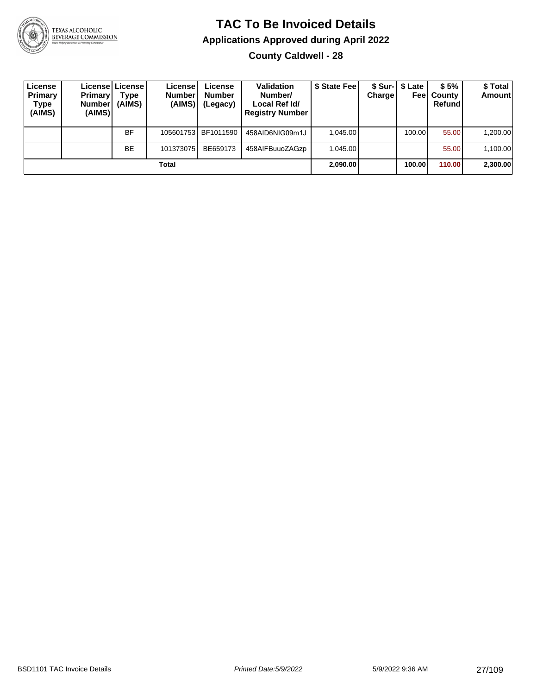

**County Caldwell - 28**

| License<br>Primary<br>Type<br>(AIMS) | Primary<br><b>Number</b><br>(AIMS) | Licensel License I<br>Type<br>(AIMS) | License<br><b>Numberl</b><br>(AIMS) | License<br><b>Number</b><br>(Legacy) | <b>Validation</b><br>Number/<br>Local Ref Id/<br><b>Registry Number</b> | \$ State Fee | Charge   | \$ Sur-1 \$ Late | \$5%<br><b>Feel County</b><br>Refund | \$ Total<br><b>Amount</b> |
|--------------------------------------|------------------------------------|--------------------------------------|-------------------------------------|--------------------------------------|-------------------------------------------------------------------------|--------------|----------|------------------|--------------------------------------|---------------------------|
|                                      |                                    | <b>BF</b>                            |                                     | 105601753 BF1011590                  | 458AID6NIG09m1J                                                         | 1.045.00     |          | 100.00           | 55.00                                | 1,200.00                  |
|                                      |                                    | <b>BE</b>                            | 101373075                           | BE659173                             | 458AIFBuuoZAGzp                                                         | 1.045.00     |          |                  | 55.00                                | 1,100.00                  |
| Total                                |                                    |                                      |                                     |                                      |                                                                         |              | 2,090.00 | 100.00           | 110.00                               | 2,300.00                  |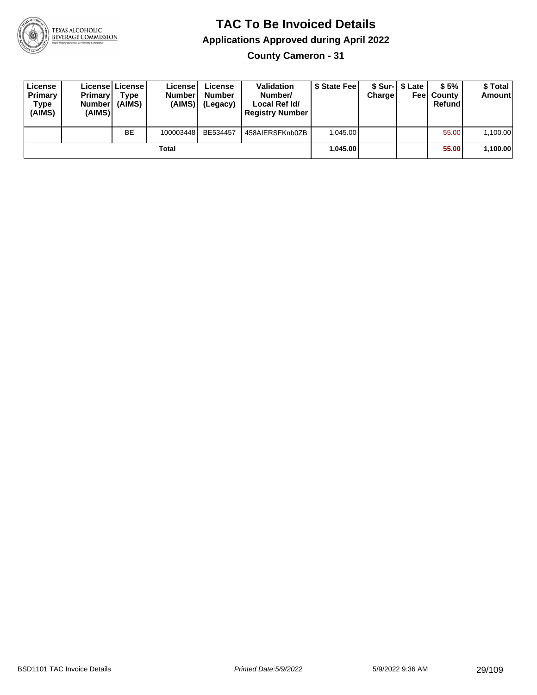

**County Cameron - 31**

| License<br>Primary<br>Type<br>(AIMS) | <b>Primary</b><br><b>Number</b><br>(AIMS) | <b>License   License</b><br>Type<br>(AIMS) | License<br><b>Number</b><br>(AIMS) | License<br><b>Number</b><br>(Legacy) | <b>Validation</b><br>Number/<br>Local Ref Id/<br><b>Registry Number</b> | \$ State Feel | Charge   | \$ Sur-1 \$ Late | \$5%<br><b>Feel County</b><br>Refund | \$ Total<br><b>Amount</b> |
|--------------------------------------|-------------------------------------------|--------------------------------------------|------------------------------------|--------------------------------------|-------------------------------------------------------------------------|---------------|----------|------------------|--------------------------------------|---------------------------|
|                                      |                                           | <b>BE</b>                                  | 100003448                          | BE534457                             | 458AIERSFKnb0ZB                                                         | 1.045.00      |          |                  | 55.00                                | 1,100.00                  |
| Total                                |                                           |                                            |                                    |                                      |                                                                         |               | 1.045.00 |                  | 55.00                                | 1,100.00                  |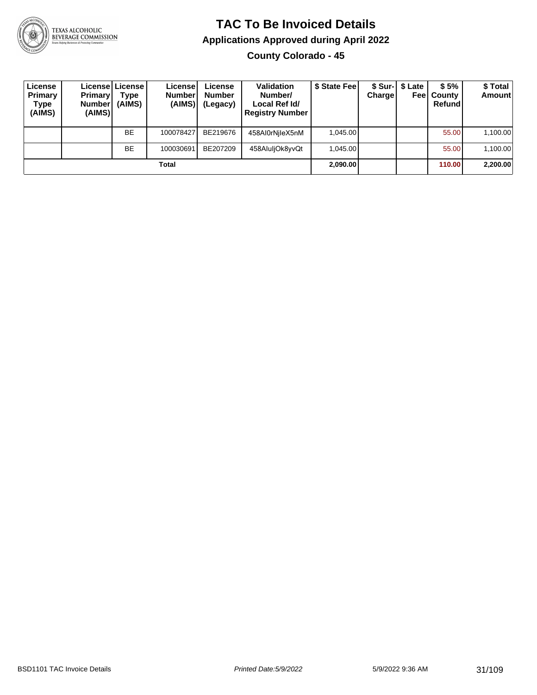

**County Colorado - 45**

| License<br><b>Primary</b><br>Type<br>(AIMS) | <b>Primary</b><br><b>Number</b><br>(AIMS) | License   License  <br>Type<br>(AIMS) | Licensel<br><b>Number</b><br>(AIMS) | License<br><b>Number</b><br>(Legacy) | <b>Validation</b><br>Number/<br>Local Ref Id/<br><b>Registry Number</b> | \$ State Feel | Charge   | \$ Sur-1 \$ Late<br>Feel | \$5%<br>County<br>Refund | \$Total<br><b>Amount</b> |
|---------------------------------------------|-------------------------------------------|---------------------------------------|-------------------------------------|--------------------------------------|-------------------------------------------------------------------------|---------------|----------|--------------------------|--------------------------|--------------------------|
|                                             |                                           | <b>BE</b>                             | 100078427                           | BE219676                             | 458AI0rNileX5nM                                                         | 1.045.00      |          |                          | 55.00                    | 1,100.00                 |
|                                             |                                           | BE                                    | 100030691                           | BE207209                             | 458AluljOk8yvQt                                                         | 1.045.00      |          |                          | 55.00                    | 1,100.00                 |
| Total                                       |                                           |                                       |                                     |                                      |                                                                         |               | 2,090.00 |                          | 110.00                   | 2,200.00                 |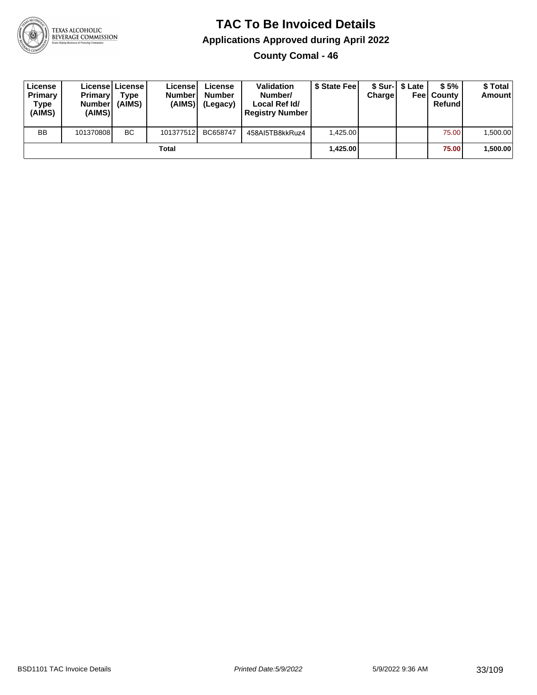

**County Comal - 46**

| License<br>Primary<br>Type<br>(AIMS) | <b>Primary</b><br><b>Number</b><br>(AIMS) | Licensel License I<br>Type<br>(AIMS) | Licensel<br><b>Number</b><br>(AIMS) | License<br><b>Number</b><br>(Legacy) | <b>Validation</b><br>Number/<br>Local Ref Id/<br><b>Registry Number</b> | \$ State Feel | Charge   | \$ Sur-1 \$ Late | \$5%<br><b>Feel County</b><br>Refund | \$ Total<br><b>Amount</b> |
|--------------------------------------|-------------------------------------------|--------------------------------------|-------------------------------------|--------------------------------------|-------------------------------------------------------------------------|---------------|----------|------------------|--------------------------------------|---------------------------|
| <b>BB</b>                            | 101370808                                 | <b>BC</b>                            | 101377512                           | BC658747                             | 458AI5TB8kkRuz4                                                         | 1.425.00      |          |                  | 75.00                                | 1,500.00                  |
| Total                                |                                           |                                      |                                     |                                      |                                                                         |               | 1,425.00 |                  | 75.00                                | ا 500.00.                 |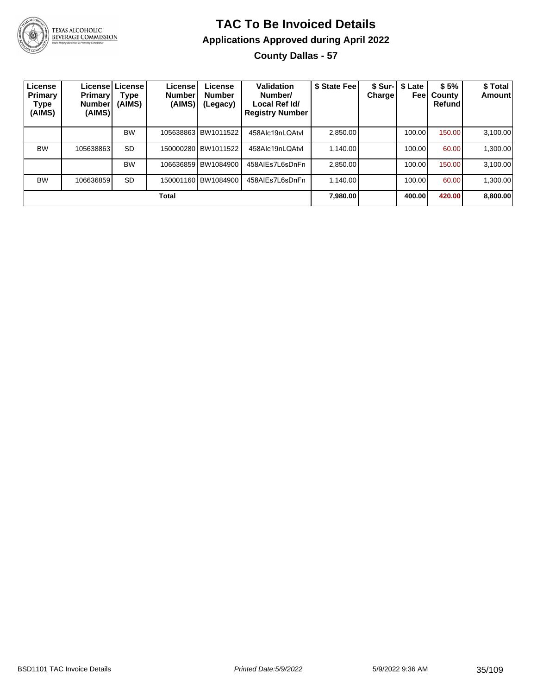

### **TAC To Be Invoiced Details Applications Approved during April 2022 County Dallas - 57**

| License<br>Primary<br>Type<br>(AIMS) | <b>Primary</b><br><b>Number</b><br>(AIMS) | Licensel License I<br><b>Type</b><br>(AIMS) | License<br><b>Number</b><br>(AIMS) | License<br><b>Number</b><br>(Legacy) | Validation<br>Number/<br>Local Ref Id/<br><b>Registry Number</b> | \$ State Fee | \$ Sur-<br>Charge | \$ Late<br>Feel | \$5%<br>County<br>Refund | \$ Total<br>Amount |
|--------------------------------------|-------------------------------------------|---------------------------------------------|------------------------------------|--------------------------------------|------------------------------------------------------------------|--------------|-------------------|-----------------|--------------------------|--------------------|
|                                      |                                           | <b>BW</b>                                   |                                    | 105638863 BW1011522                  | 458Alc19nLQAtvl                                                  | 2,850.00     |                   | 100.00          | 150.00                   | 3,100.00           |
| <b>BW</b>                            | 105638863                                 | <b>SD</b>                                   |                                    | 150000280 BW1011522                  | 458Alc19nLQAtvl                                                  | 1.140.00     |                   | 100.00          | 60.00                    | 1,300.00           |
|                                      |                                           | <b>BW</b>                                   |                                    | 106636859 BW1084900                  | 458AIEs7L6sDnFn                                                  | 2.850.00     |                   | 100.00          | 150.00                   | 3,100.00           |
| <b>BW</b>                            | 106636859                                 | <b>SD</b>                                   |                                    | 150001160 BW1084900                  | 458AIEs7L6sDnFn                                                  | 1.140.00     |                   | 100.00          | 60.00                    | 1,300.00           |
| Total                                |                                           |                                             |                                    |                                      |                                                                  |              |                   | 400.00          | 420.00                   | 8,800.00           |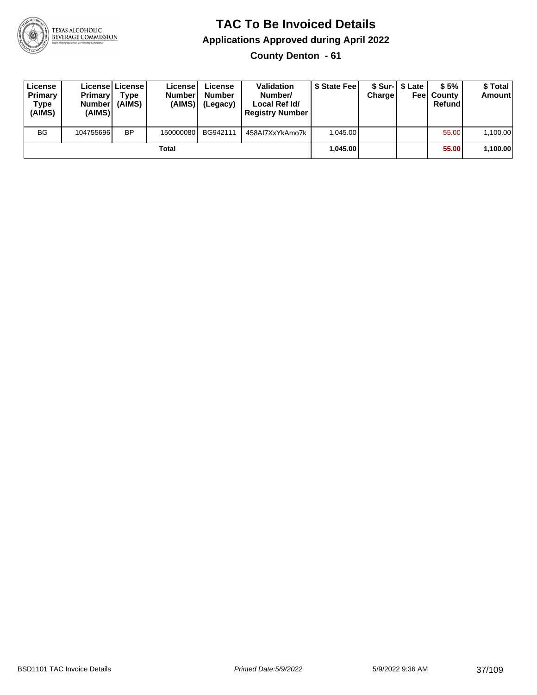

#### **TAC To Be Invoiced Details Applications Approved during April 2022 County Denton - 61**

| License<br>Primary<br>Type<br>(AIMS) | <b>Primary</b><br><b>Number</b><br>(AIMS) | License License<br><b>Type</b><br>(AIMS) | License<br><b>Number</b><br>(AIMS) | License<br><b>Number</b><br>(Legacy) | <b>Validation</b><br>Number/<br>Local Ref Id/<br><b>Registry Number</b> | \$ State Feel | Charge | \$ Sur-1 \$ Late | \$5%<br><b>Feel County</b><br>Refund | \$ Total<br><b>Amount</b> |
|--------------------------------------|-------------------------------------------|------------------------------------------|------------------------------------|--------------------------------------|-------------------------------------------------------------------------|---------------|--------|------------------|--------------------------------------|---------------------------|
| <b>BG</b>                            | 104755696                                 | <b>BP</b>                                | 150000080                          | BG942111                             | 458AI7XxYkAmo7k                                                         | 1.045.00      |        |                  | 55.00                                | 1,100.00                  |
|                                      |                                           |                                          | Total                              |                                      |                                                                         | 1.045.00      |        |                  | 55.00                                | 1,100.00                  |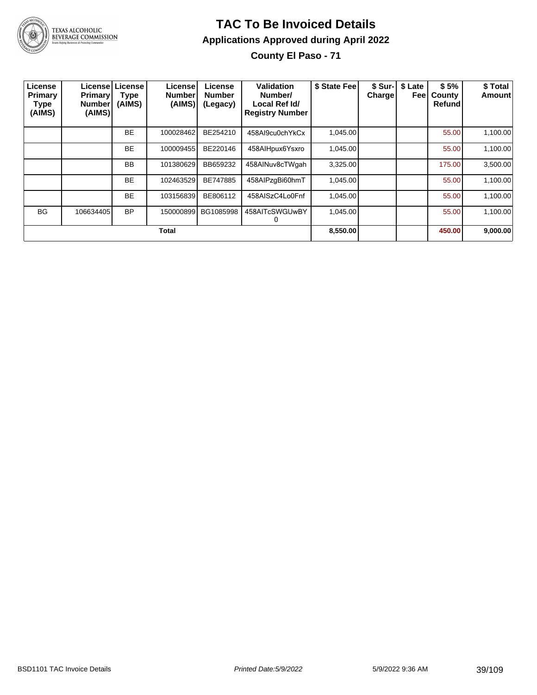

#### **TAC To Be Invoiced Details Applications Approved during April 2022 County El Paso - 71**

| License<br>Primary<br>Type<br>(AIMS) | <b>Primary</b><br><b>Number</b><br>(AIMS) | License License<br>Type<br>(AIMS) | License<br><b>Number</b><br>(AIMS) | License<br><b>Number</b><br>(Legacy) | Validation<br>Number/<br>Local Ref Id/<br><b>Registry Number</b> | \$ State Fee | \$ Sur-<br><b>Charge</b> | \$ Late<br>Feel | \$5%<br>County<br>Refund | \$ Total<br>Amount |
|--------------------------------------|-------------------------------------------|-----------------------------------|------------------------------------|--------------------------------------|------------------------------------------------------------------|--------------|--------------------------|-----------------|--------------------------|--------------------|
|                                      |                                           | <b>BE</b>                         | 100028462                          | BE254210                             | 458Al9cu0chYkCx                                                  | 1,045.00     |                          |                 | 55.00                    | 1,100.00           |
|                                      |                                           | <b>BE</b>                         | 100009455                          | BE220146                             | 458AlHpux6Ysxro                                                  | 1.045.00     |                          |                 | 55.00                    | 1,100.00           |
|                                      |                                           | <b>BB</b>                         | 101380629                          | BB659232                             | 458AINuv8cTWgah                                                  | 3,325.00     |                          |                 | 175.00                   | 3,500.00           |
|                                      |                                           | <b>BE</b>                         | 102463529                          | BE747885                             | 458AlPzqBi60hmT                                                  | 1,045.00     |                          |                 | 55.00                    | 1,100.00           |
|                                      |                                           | <b>BE</b>                         | 103156839                          | BE806112                             | 458AISzC4Lo0Fnf                                                  | 1,045.00     |                          |                 | 55.00                    | 1,100.00           |
| <b>BG</b>                            | 106634405                                 | <b>BP</b>                         | 150000899                          | BG1085998                            | 458AITcSWGUwBY                                                   | 1,045.00     |                          |                 | 55.00                    | 1,100.00           |
|                                      |                                           |                                   | <b>Total</b>                       |                                      |                                                                  | 8,550.00     |                          |                 | 450.00                   | 9,000.00           |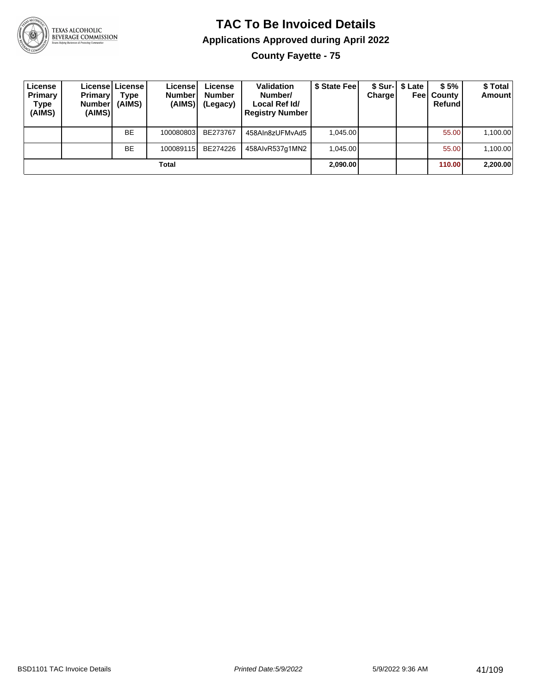

#### **TAC To Be Invoiced Details Applications Approved during April 2022 County Fayette - 75**

**License Primary Type (AIMS) License Primary Number (AIMS) License Type (AIMS) License Number (AIMS) License Number (Legacy) Validation Number/ Local Ref Id/ Registry Number \$ State Fee \$ Sur-Charge \$ Late Fee County \$ 5% Refund \$ Total Amount** BE | 100080803 BE273767 | 458AIn8zUFMvAd5 | 1,045.00 | | | 55.00 1,100.00 BE | 100089115 BE274226 | 458AIvR537g1MN2 | 1,045.00 | | | 55.00 | 1,100.00 **Total 2,090.00 110.00 2,200.00**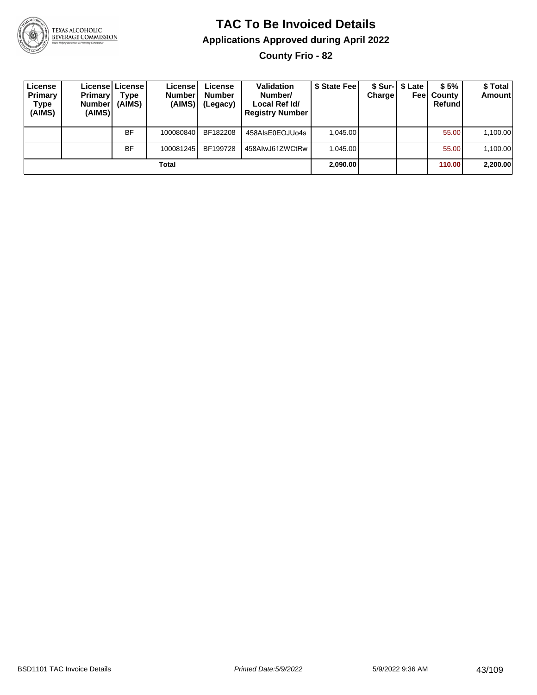

**County Frio - 82**

| License<br>Primary<br>Type<br>(AIMS) | <b>Primary</b><br><b>Number</b><br>(AIMS) | License License I<br>Type<br>(AIMS) | License<br><b>Number</b><br>(AIMS) | License<br><b>Number</b><br>(Legacy) | <b>Validation</b><br>Number/<br>Local Ref Id/<br><b>Registry Number</b> | \$ State Feel | Charge | \$ Sur-1 \$ Late | \$5%<br><b>Feel County</b><br>Refund | \$ Total<br><b>Amount</b> |
|--------------------------------------|-------------------------------------------|-------------------------------------|------------------------------------|--------------------------------------|-------------------------------------------------------------------------|---------------|--------|------------------|--------------------------------------|---------------------------|
|                                      |                                           | BF                                  | 100080840                          | BF182208                             | 458AIsE0EOJUo4s                                                         | 1.045.00      |        |                  | 55.00                                | 1,100.00                  |
|                                      |                                           | BF                                  | 100081245                          | BF199728                             | 458AlwJ61ZWCtRw                                                         | 1.045.00      |        |                  | 55.00                                | 1,100.00                  |
|                                      |                                           |                                     | Total                              |                                      |                                                                         | 2,090.00      |        |                  | 110.00                               | 2,200.00                  |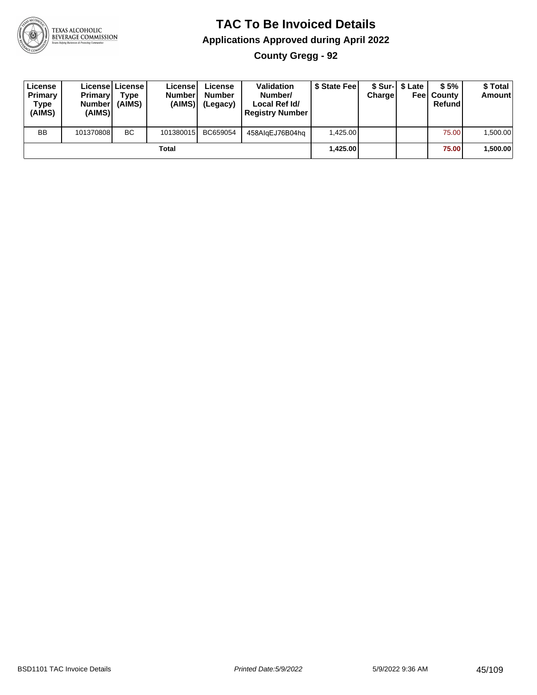

#### **TAC To Be Invoiced Details Applications Approved during April 2022 County Gregg - 92**

| License<br>Primary<br><b>Type</b><br>(AIMS) | <b>Primary</b><br><b>Number</b><br>(AIMS) | License License!<br>$T$ <sub>Vpe</sub><br>(AIMS) | Licensel<br><b>Numberl</b><br>(AIMS) | License<br><b>Number</b><br>(Legacy) | <b>Validation</b><br>Number/<br>Local Ref Id/<br><b>Registry Number</b> | \$ State Feel | Charge | \$ Sur-1 \$ Late | \$5%<br><b>Feel County</b><br>Refund | \$ Total<br>Amount |
|---------------------------------------------|-------------------------------------------|--------------------------------------------------|--------------------------------------|--------------------------------------|-------------------------------------------------------------------------|---------------|--------|------------------|--------------------------------------|--------------------|
| <b>BB</b>                                   | 101370808                                 | BC.                                              | 101380015                            | BC659054                             | 458AlgEJ76B04hg                                                         | 1.425.00      |        |                  | 75.00                                | 1,500.00           |
|                                             |                                           |                                                  | <b>Total</b>                         |                                      |                                                                         | 1,425.00      |        |                  | 75.00                                | 1,500.00           |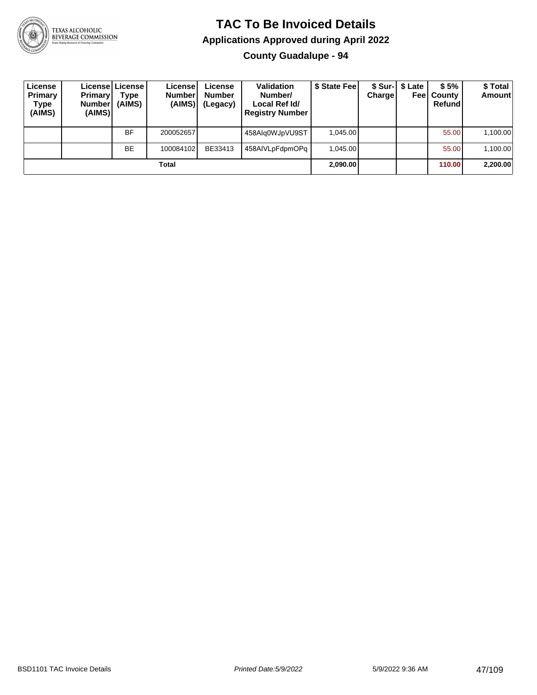

**County Guadalupe - 94**

| License<br>Primary<br>Type<br>(AIMS) | <b>Primary</b><br><b>Number</b><br>(AIMS) | License   License<br>Type<br>(AIMS) | License!<br><b>Number</b><br>(AIMS) | License<br><b>Number</b><br>(Legacy) | <b>Validation</b><br>Number/<br>Local Ref Id/<br><b>Registry Number</b> | \$ State Fee | Charge | \$ Sur-1 \$ Late | \$5%<br><b>Feel County</b><br>Refund | \$ Total<br><b>Amount</b> |
|--------------------------------------|-------------------------------------------|-------------------------------------|-------------------------------------|--------------------------------------|-------------------------------------------------------------------------|--------------|--------|------------------|--------------------------------------|---------------------------|
|                                      |                                           | <b>BF</b>                           | 200052657                           |                                      | 458Alg0WJpVU9ST                                                         | 1.045.00     |        |                  | 55.00                                | 1,100.00                  |
|                                      |                                           | <b>BE</b>                           | 100084102                           | BE33413                              | 458AIVLpFdpmOPq                                                         | 1.045.00     |        |                  | 55.00                                | 1,100.00                  |
|                                      |                                           |                                     | Total                               |                                      |                                                                         | 2.090.00     |        |                  | 110.00                               | 2,200.00                  |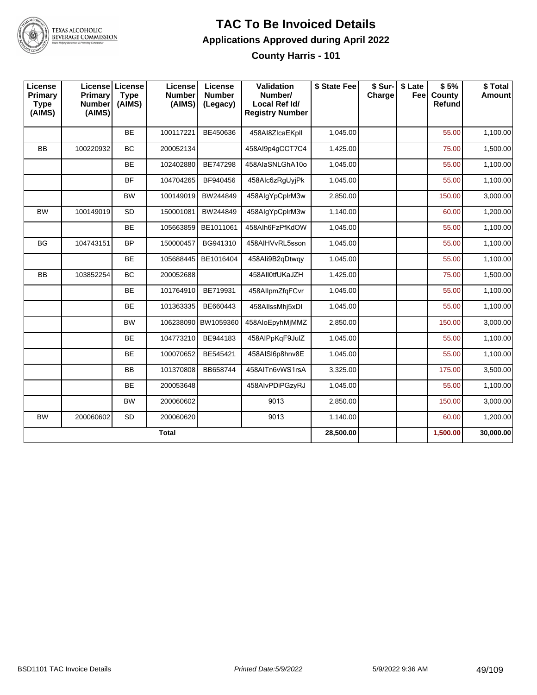

#### **TAC To Be Invoiced Details Applications Approved during April 2022 County Harris - 101**

| License<br><b>Primary</b><br><b>Type</b><br>(AIMS) | <b>Primary</b><br><b>Number</b><br>(AIMS) | License License<br><b>Type</b><br>(AIMS) | License<br><b>Number</b><br>(AIMS) | License<br><b>Number</b><br>(Legacy) | Validation<br>Number/<br>Local Ref Id/<br><b>Registry Number</b> | \$ State Fee | \$ Sur-<br>Charge | \$ Late<br>Fee | \$5%<br>County<br>Refund | \$Total<br>Amount |
|----------------------------------------------------|-------------------------------------------|------------------------------------------|------------------------------------|--------------------------------------|------------------------------------------------------------------|--------------|-------------------|----------------|--------------------------|-------------------|
|                                                    |                                           | <b>BE</b>                                | 100117221                          | BE450636                             | 458AI8ZIcaEKpll                                                  | 1,045.00     |                   |                | 55.00                    | 1,100.00          |
| <b>BB</b>                                          | 100220932                                 | BC                                       | 200052134                          |                                      | 458Al9p4gCCT7C4                                                  | 1,425.00     |                   |                | 75.00                    | 1,500.00          |
|                                                    |                                           | <b>BE</b>                                | 102402880                          | BE747298                             | 458AlaSNLGhA10o                                                  | 1,045.00     |                   |                | 55.00                    | 1,100.00          |
|                                                    |                                           | <b>BF</b>                                | 104704265                          | BF940456                             | 458Alc6zRgUyjPk                                                  | 1,045.00     |                   |                | 55.00                    | 1,100.00          |
|                                                    |                                           | <b>BW</b>                                | 100149019                          | BW244849                             | 458AlgYpCplrM3w                                                  | 2,850.00     |                   |                | 150.00                   | 3,000.00          |
| <b>BW</b>                                          | 100149019                                 | <b>SD</b>                                | 150001081                          | BW244849                             | 458AlgYpCplrM3w                                                  | 1,140.00     |                   |                | 60.00                    | 1,200.00          |
|                                                    |                                           | BE                                       | 105663859                          | BE1011061                            | 458Alh6FzPfKdOW                                                  | 1,045.00     |                   |                | 55.00                    | 1,100.00          |
| <b>BG</b>                                          | 104743151                                 | <b>BP</b>                                | 150000457                          | BG941310                             | 458AIHVvRL5sson                                                  | 1,045.00     |                   |                | 55.00                    | 1,100.00          |
|                                                    |                                           | <b>BE</b>                                | 105688445                          | BE1016404                            | 458Ali9B2qDtwqv                                                  | 1,045.00     |                   |                | 55.00                    | 1,100.00          |
| BB                                                 | 103852254                                 | <b>BC</b>                                | 200052688                          |                                      | 458AII0tfUKaJZH                                                  | 1,425.00     |                   |                | 75.00                    | 1,500.00          |
|                                                    |                                           | BE                                       | 101764910                          | BE719931                             | 458AllpmZfgFCvr                                                  | 1,045.00     |                   |                | 55.00                    | 1,100.00          |
|                                                    |                                           | BE                                       | 101363335                          | BE660443                             | 458AllssMhj5xDI                                                  | 1,045.00     |                   |                | 55.00                    | 1,100.00          |
|                                                    |                                           | <b>BW</b>                                |                                    | 106238090 BW1059360                  | 458AloEpyhMjMMZ                                                  | 2,850.00     |                   |                | 150.00                   | 3,000.00          |
|                                                    |                                           | <b>BE</b>                                | 104773210                          | BE944183                             | 458AIPpKgF9JulZ                                                  | 1,045.00     |                   |                | 55.00                    | 1,100.00          |
|                                                    |                                           | <b>BE</b>                                | 100070652                          | BE545421                             | 458AISI6p8hnv8E                                                  | 1,045.00     |                   |                | 55.00                    | 1,100.00          |
|                                                    |                                           | <b>BB</b>                                | 101370808                          | BB658744                             | 458AITn6vWS1rsA                                                  | 3,325.00     |                   |                | 175.00                   | 3,500.00          |
|                                                    |                                           | <b>BE</b>                                | 200053648                          |                                      | 458AlvPDiPGzyRJ                                                  | 1,045.00     |                   |                | 55.00                    | 1,100.00          |
|                                                    |                                           | <b>BW</b>                                | 200060602                          |                                      | 9013                                                             | 2,850.00     |                   |                | 150.00                   | 3,000.00          |
| <b>BW</b>                                          | 200060602                                 | <b>SD</b>                                | 200060620                          |                                      | 9013                                                             | 1,140.00     |                   |                | 60.00                    | 1,200.00          |
|                                                    |                                           |                                          | <b>Total</b>                       |                                      |                                                                  | 28,500.00    |                   |                | 1,500.00                 | 30,000.00         |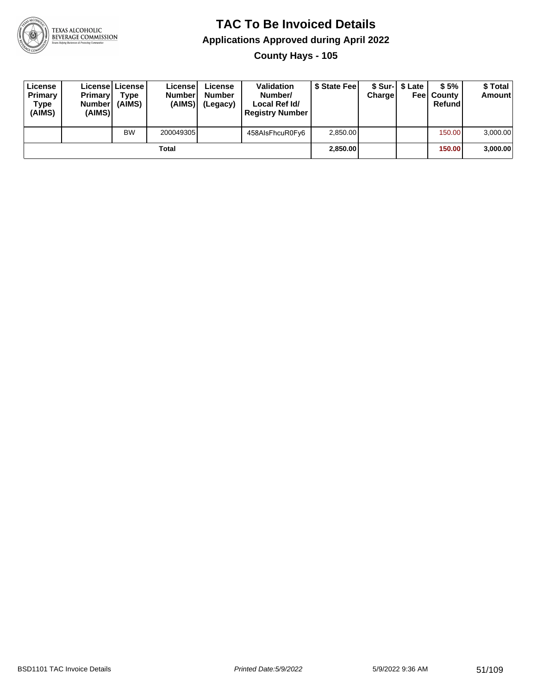

**County Hays - 105**

| License<br>Primary<br>Type<br>(AIMS) | <b>Primary</b><br><b>Number</b><br>(AIMS) | License   License  <br>Type<br>(AIMS) | License<br><b>Number</b><br>(AIMS) l | License<br><b>Number</b><br>(Legacy) | <b>Validation</b><br>Number/<br>Local Ref Id/<br><b>Registry Number</b> | \$ State Feel | Charge | \$ Sur-1 \$ Late | \$5%<br><b>Feel County</b><br>Refund | \$ Total<br>Amount |
|--------------------------------------|-------------------------------------------|---------------------------------------|--------------------------------------|--------------------------------------|-------------------------------------------------------------------------|---------------|--------|------------------|--------------------------------------|--------------------|
|                                      |                                           | <b>BW</b>                             | 200049305                            |                                      | 458AIsFhcuR0Fy6                                                         | 2,850.00      |        |                  | 150.00                               | 3,000.00           |
|                                      |                                           |                                       | Total                                |                                      |                                                                         | 2,850.00      |        |                  | 150.00                               | 3,000.00           |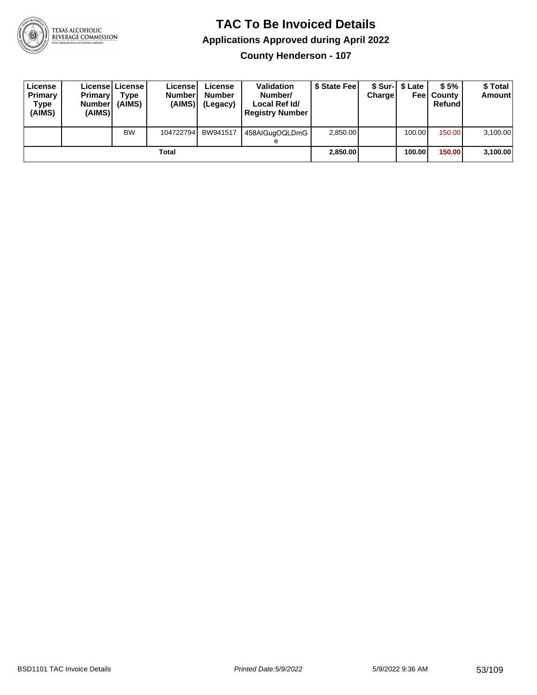

**County Henderson - 107**

| License<br>Primary<br>Type<br>(AIMS) | <b>Primary</b><br><b>Number</b><br>(AIMS) | Licensel License I<br>Type<br>(AIMS) | License<br><b>Number</b><br>(AIMS) | License<br><b>Number</b><br>(Legacy) | <b>Validation</b><br>Number/<br>Local Ref Id/<br><b>Registry Number</b> | \$ State Feel | Charge | \$ Sur-1 \$ Late | \$5%<br><b>Feel County</b><br>Refund | \$ Total<br><b>Amount</b> |
|--------------------------------------|-------------------------------------------|--------------------------------------|------------------------------------|--------------------------------------|-------------------------------------------------------------------------|---------------|--------|------------------|--------------------------------------|---------------------------|
|                                      |                                           | <b>BW</b>                            | 104722794                          | BW941517                             | 458AlGugOQLDmG<br>е                                                     | 2,850.00      |        | 100.00 l         | 150.00                               | 3,100.00                  |
|                                      |                                           |                                      | Total                              |                                      |                                                                         | 2,850.00      |        | 100.00l          | 150.00                               | 3,100.00                  |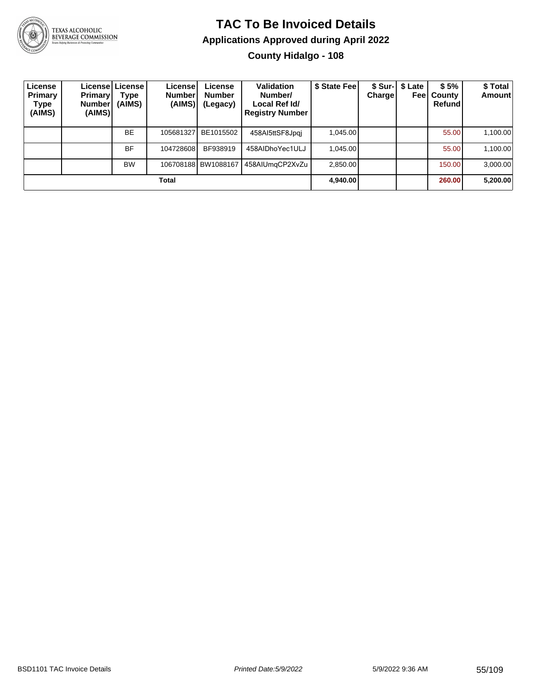

# TEXAS ALCOHOLIC<br>BEVERAGE COMMISSION

#### **TAC To Be Invoiced Details Applications Approved during April 2022 County Hidalgo - 108**

| License<br>Primary<br>Type<br>(AIMS) | <b>Primary</b><br>Number!<br>(AIMS) | Licensel License I<br>Type<br>(AIMS) | License!<br><b>Number</b><br>(AIMS) | License<br><b>Number</b><br>(Legacy) | Validation<br>Number/<br>Local Ref Id/<br><b>Registry Number</b> | \$ State Fee | <b>Charge</b> | \$ Sur-   \$ Late<br>Feel | \$5%<br>County<br>Refundl | \$ Total<br><b>Amount</b> |
|--------------------------------------|-------------------------------------|--------------------------------------|-------------------------------------|--------------------------------------|------------------------------------------------------------------|--------------|---------------|---------------------------|---------------------------|---------------------------|
|                                      |                                     | <b>BE</b>                            | 105681327                           | BE1015502                            | 458AI5ttSF8Jpgj                                                  | 1.045.00     |               |                           | 55.00                     | 1,100.00                  |
|                                      |                                     | BF                                   | 104728608                           | BF938919                             | 458AIDhoYec1ULJ                                                  | 1.045.00     |               |                           | 55.00                     | 1,100.00                  |
|                                      |                                     | <b>BW</b>                            |                                     | 106708188 BW1088167                  | 458AIUmgCP2XvZu                                                  | 2,850.00     |               |                           | 150.00                    | 3,000.00                  |
|                                      |                                     |                                      | Total                               |                                      |                                                                  | 4,940.00     |               |                           | 260.00                    | 5,200.00                  |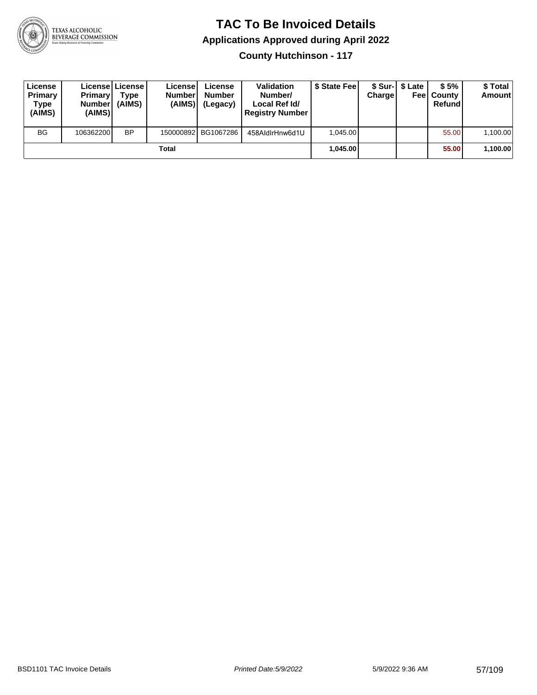

**County Hutchinson - 117**

| License<br>Primary<br>Type<br>(AIMS) | <b>Primary</b><br><b>Number</b><br>(AIMS) | Licensel License I<br>Type<br>(AIMS) | License<br><b>Number</b><br>(AIMS) | License<br><b>Number</b><br>(Legacy) | <b>Validation</b><br>Number/<br>Local Ref Id/<br><b>Registry Number</b> | \$ State Feel | Charge | \$ Sur-1 \$ Late | \$5%<br><b>Feel County</b><br>Refund | \$ Total<br><b>Amount</b> |
|--------------------------------------|-------------------------------------------|--------------------------------------|------------------------------------|--------------------------------------|-------------------------------------------------------------------------|---------------|--------|------------------|--------------------------------------|---------------------------|
| <b>BG</b>                            | 106362200                                 | <b>BP</b>                            |                                    | 150000892 BG1067286                  | 458AldIrHnw6d1U                                                         | 1.045.00      |        |                  | 55.00                                | 1,100.00                  |
|                                      |                                           |                                      | Total                              |                                      |                                                                         | 1.045.00      |        |                  | 55.00                                | 1,100.00                  |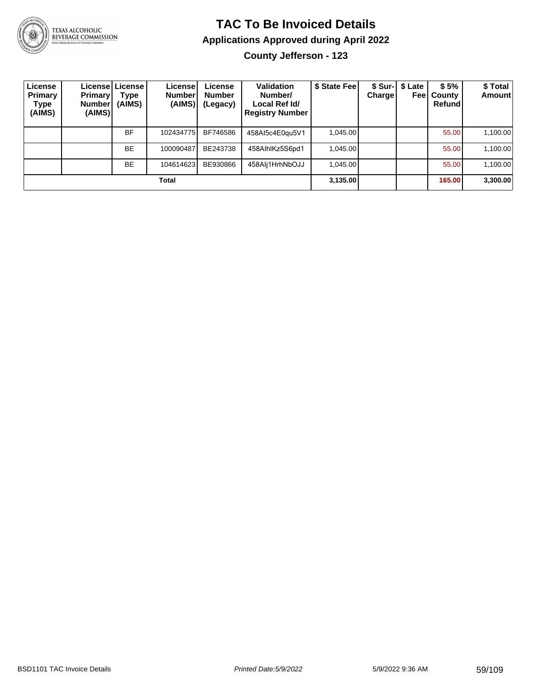

# TEXAS ALCOHOLIC<br>BEVERAGE COMMISSION

### **TAC To Be Invoiced Details Applications Approved during April 2022**

**County Jefferson - 123**

| License<br>Primary<br>Type<br>(AIMS) | <b>Primary</b><br><b>Number</b><br>(AIMS) | Licensel License I<br>Type<br>(AIMS) | License!<br><b>Number</b><br>(AIMS) | License<br><b>Number</b><br>(Legacy) | Validation<br>Number/<br>Local Ref Id/<br><b>Registry Number</b> | \$ State Feel | <b>Charge</b> | \$ Sur-   \$ Late<br>Feel | \$5%<br>County<br>Refund | \$Total<br><b>Amount</b> |
|--------------------------------------|-------------------------------------------|--------------------------------------|-------------------------------------|--------------------------------------|------------------------------------------------------------------|---------------|---------------|---------------------------|--------------------------|--------------------------|
|                                      |                                           | <b>BF</b>                            | 102434775                           | BF746586                             | 458AI5c4E0qu5V1                                                  | 1,045.00      |               |                           | 55.00                    | 1,100.00                 |
|                                      |                                           | <b>BE</b>                            | 100090487                           | BE243738                             | 458AlhlKz5S6pd1                                                  | 1,045.00      |               |                           | 55.00                    | 1,100.00                 |
|                                      |                                           | <b>BE</b>                            | 104614623                           | BE930866                             | 458Alj1HrhNbOJJ                                                  | 1.045.00      |               |                           | 55.00                    | 1,100.00                 |
|                                      |                                           |                                      | Total                               |                                      |                                                                  | 3,135.00      |               |                           | 165.00                   | 3,300.00                 |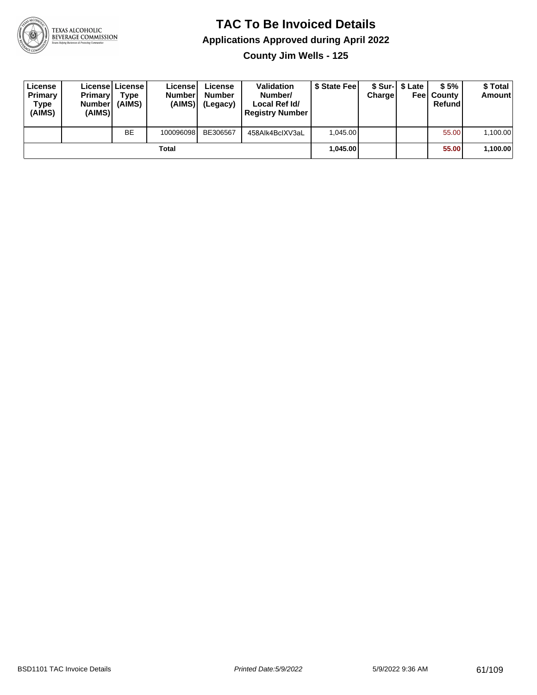

**County Jim Wells - 125**

| License<br>Primary<br>Type<br>(AIMS) | <b>Primary</b><br>Number<br>(AIMS) | License   License  <br>Type<br>(AIMS) | License<br><b>Numberl</b><br>(AIMS) | License<br><b>Number</b><br>(Legacy) | <b>Validation</b><br>Number/<br>Local Ref Id/<br><b>Registry Number</b> | \$ State Feel | Charge | \$ Sur-1 \$ Late | \$5%<br><b>Feel County</b><br>Refund | \$ Total<br>Amount |
|--------------------------------------|------------------------------------|---------------------------------------|-------------------------------------|--------------------------------------|-------------------------------------------------------------------------|---------------|--------|------------------|--------------------------------------|--------------------|
|                                      |                                    | <b>BE</b>                             | 100096098                           | BE306567                             | 458Alk4BclXV3aL                                                         | 1.045.00      |        |                  | 55.00                                | 1,100.00           |
|                                      |                                    |                                       | Total                               |                                      |                                                                         | 1.045.00      |        |                  | 55.00                                | 1,100.00           |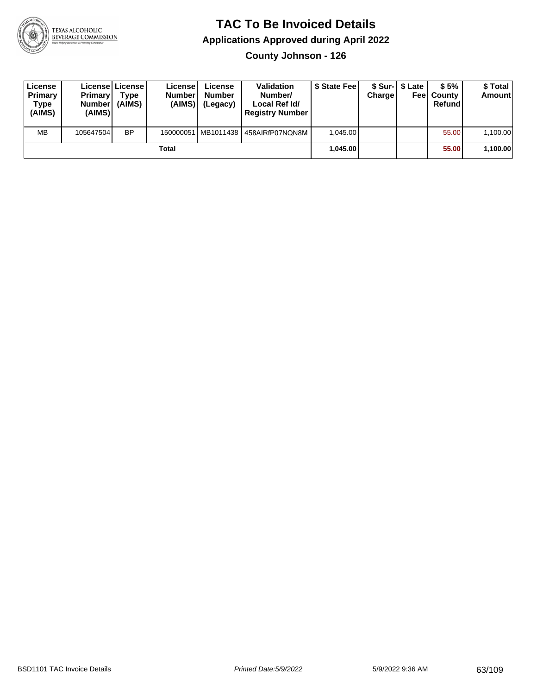

**County Johnson - 126**

| License<br>Primary<br>Type<br>(AIMS) | <b>Primary</b><br><b>Number</b><br>(AIMS) | License   License  <br>Type<br>(AIMS) | License<br><b>Number</b><br>(AIMS) | License<br><b>Number</b><br>(Legacy) | <b>Validation</b><br>Number/<br>Local Ref Id/<br><b>Registry Number</b> | \$ State Feel | Charge | \$ Sur-1 \$ Late | \$5%<br><b>Feel County</b><br>Refund | \$ Total<br><b>Amount</b> |
|--------------------------------------|-------------------------------------------|---------------------------------------|------------------------------------|--------------------------------------|-------------------------------------------------------------------------|---------------|--------|------------------|--------------------------------------|---------------------------|
| <b>MB</b>                            | 105647504                                 | <b>BP</b>                             |                                    |                                      | 150000051 MB1011438 458AIRfP07NQN8M                                     | 1.045.00      |        |                  | 55.00                                | 1,100.00                  |
| Total                                |                                           |                                       |                                    |                                      |                                                                         | 1.045.00      |        |                  | 55.00                                | 1,100.00                  |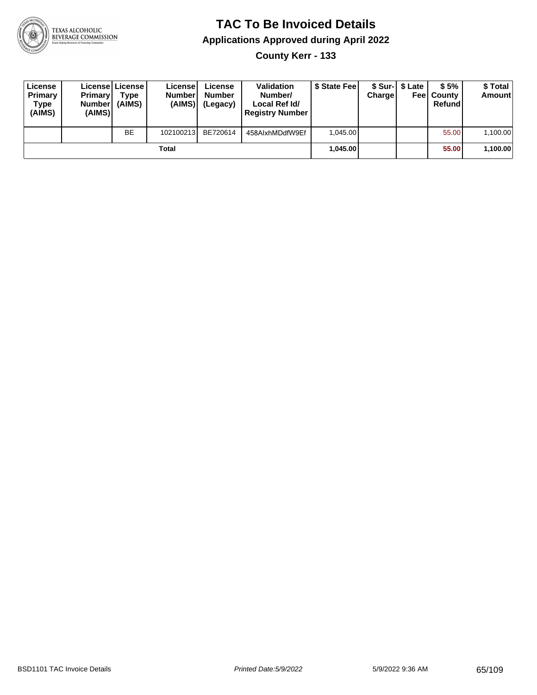

**County Kerr - 133**

| License<br>Primary<br>Type<br>(AIMS) | <b>Primary</b><br><b>Number</b><br>(AIMS) | License   License  <br>Type<br>(AIMS) | License<br><b>Number</b><br>(AIMS) | License<br><b>Number</b><br>(Legacy) | <b>Validation</b><br>Number/<br>Local Ref Id/<br><b>Registry Number</b> | \$ State Feel | Charge | \$ Sur-1 \$ Late | \$5%<br><b>Feel County</b><br>Refund | \$ Total<br><b>Amount</b> |
|--------------------------------------|-------------------------------------------|---------------------------------------|------------------------------------|--------------------------------------|-------------------------------------------------------------------------|---------------|--------|------------------|--------------------------------------|---------------------------|
|                                      |                                           | <b>BE</b>                             | 102100213                          | BE720614                             | 458AlxhMDdfW9Ef                                                         | 1.045.00      |        |                  | 55.00                                | 1,100.00                  |
| Total                                |                                           |                                       |                                    |                                      |                                                                         | 1.045.00      |        |                  | 55.00                                | 1,100.00                  |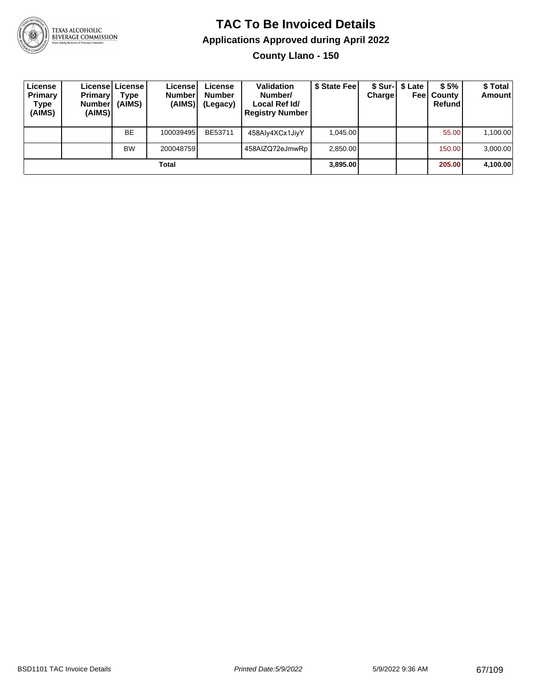

**County Llano - 150**

| License<br>Primary<br>Type<br>(AIMS) | <b>Primary</b><br><b>Number</b><br>(AIMS) | Licensel License I<br>Type<br>(AIMS) | Licensel<br><b>Number</b><br>(AIMS) | License<br><b>Number</b><br>(Legacy) | <b>Validation</b><br>Number/<br>Local Ref Id/<br><b>Registry Number</b> | \$ State Feel | Charge | \$ Sur-1 \$ Late | \$5%<br><b>Feel County</b><br>Refund | \$Total<br><b>Amount</b> |
|--------------------------------------|-------------------------------------------|--------------------------------------|-------------------------------------|--------------------------------------|-------------------------------------------------------------------------|---------------|--------|------------------|--------------------------------------|--------------------------|
|                                      |                                           | BE                                   | 100039495                           | BE53711                              | 458Aly4XCx1JiyY                                                         | 1,045.00      |        |                  | 55.00                                | 1,100.00                 |
|                                      |                                           | <b>BW</b>                            | 200048759                           |                                      | 458AIZQ72eJmwRp                                                         | 2,850.00      |        |                  | 150.00                               | 3,000.00                 |
| Total                                |                                           |                                      |                                     |                                      |                                                                         | 3,895.00      |        |                  | 205.00                               | 4,100.00                 |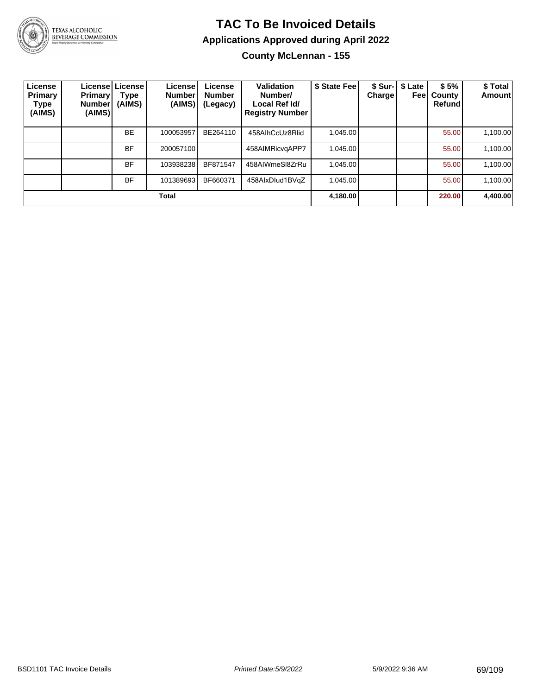

TEXAS ALCOHOLIC<br>BEVERAGE COMMISSION

#### **TAC To Be Invoiced Details Applications Approved during April 2022 County McLennan - 155**

| License<br>Primary<br>Type<br>(AIMS) | <b>Primary!</b><br>Number <sup>'</sup><br>(AIMS) | License License<br>Type<br>(AIMS) | License!<br><b>Number</b><br>(AIMS) | License<br><b>Number</b><br>(Legacy) | <b>Validation</b><br>Number/<br>Local Ref Id/<br><b>Registry Number</b> | \$ State Fee | <b>Charge</b> | \$ Sur-   \$ Late<br>Feel | \$5%<br>County<br>Refund | \$ Total<br>Amount |
|--------------------------------------|--------------------------------------------------|-----------------------------------|-------------------------------------|--------------------------------------|-------------------------------------------------------------------------|--------------|---------------|---------------------------|--------------------------|--------------------|
|                                      |                                                  | <b>BE</b>                         | 100053957                           | BE264110                             | 458AlhCcUz8Rlid                                                         | 1.045.00     |               |                           | 55.00                    | 1,100.00           |
|                                      |                                                  | BF                                | 200057100                           |                                      | 458AIMRicvgAPP7                                                         | 1.045.00     |               |                           | 55.00                    | 1,100.00           |
|                                      |                                                  | BF                                | 103938238                           | BF871547                             | 458AIWmeSI8ZrRu                                                         | 1.045.00     |               |                           | 55.00                    | 1,100.00           |
|                                      |                                                  | <b>BF</b>                         | 101389693                           | BF660371                             | 458AlxDlud1BVqZ                                                         | 1.045.00     |               |                           | 55.00                    | 1,100.00           |
| Total                                |                                                  |                                   |                                     |                                      |                                                                         |              |               |                           | 220.00                   | 4,400.00           |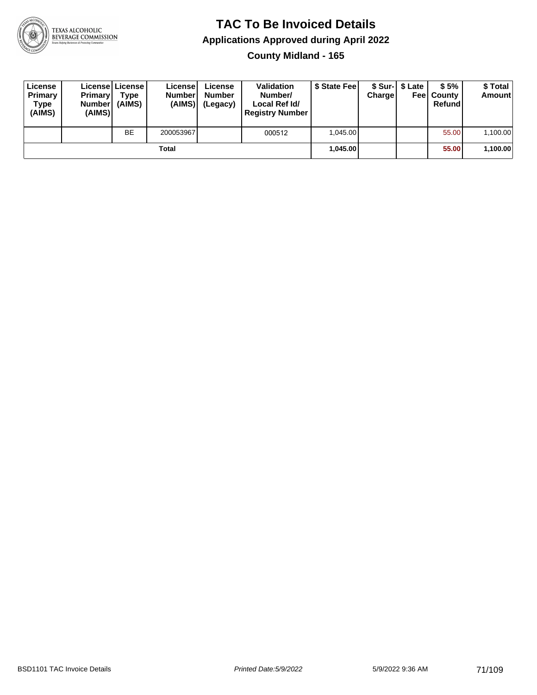

**County Midland - 165**

| License<br>Primary<br>Type<br>(AIMS) | <b>Primary</b><br><b>Number</b><br>(AIMS) | <b>License   License</b><br>Type<br>(AIMS) | License<br><b>Number</b><br>(AIMS) | License<br><b>Number</b><br>(Legacy) | <b>Validation</b><br>Number/<br>Local Ref Id/<br><b>Registry Number</b> | \$ State Fee | Charge | \$ Sur-1 \$ Late | \$5%<br><b>Feel County</b><br>Refund | \$ Total<br><b>Amount</b> |
|--------------------------------------|-------------------------------------------|--------------------------------------------|------------------------------------|--------------------------------------|-------------------------------------------------------------------------|--------------|--------|------------------|--------------------------------------|---------------------------|
|                                      |                                           | <b>BE</b>                                  | 200053967                          |                                      | 000512                                                                  | 1.045.00     |        |                  | 55.00                                | 1,100.00                  |
| Total                                |                                           |                                            |                                    |                                      |                                                                         | 1.045.00     |        |                  | 55.00                                | 1,100.00                  |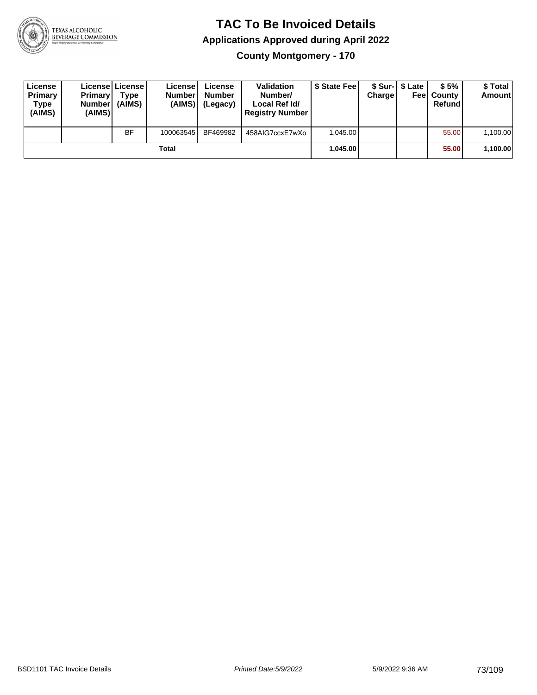

**County Montgomery - 170**

| License<br>Primary<br>Type<br>(AIMS) | <b>Primary</b><br><b>Number</b><br>(AIMS) | License   License  <br>Type<br>(AIMS) | License<br><b>Number</b><br>(AIMS) | License<br><b>Number</b><br>(Legacy) | <b>Validation</b><br>Number/<br>Local Ref Id/<br><b>Registry Number</b> | \$ State Feel | Charge | \$ Sur-1 \$ Late | \$5%<br><b>Feel County</b><br>Refund | \$ Total<br>Amount |
|--------------------------------------|-------------------------------------------|---------------------------------------|------------------------------------|--------------------------------------|-------------------------------------------------------------------------|---------------|--------|------------------|--------------------------------------|--------------------|
|                                      |                                           | <b>BF</b>                             | 100063545                          | BF469982                             | 458AIG7ccxE7wXo                                                         | 1.045.00      |        |                  | 55.00                                | 1,100.00           |
|                                      |                                           |                                       | Total                              |                                      |                                                                         | 1.045.00      |        |                  | 55.00                                | 1,100.00           |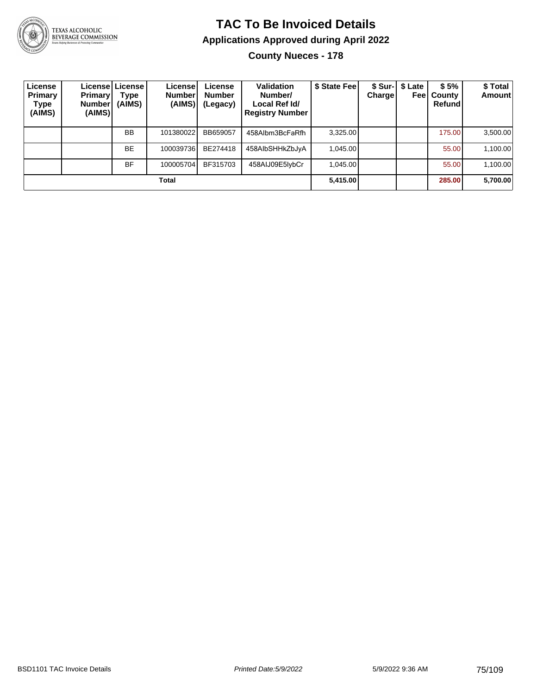

# TEXAS ALCOHOLIC<br>BEVERAGE COMMISSION

#### **TAC To Be Invoiced Details Applications Approved during April 2022 County Nueces - 178**

| License<br>Primary<br><b>Type</b><br>(AIMS) | <b>Primary</b><br><b>Number</b><br>(AIMS) | License License<br>Type<br>(AIMS) | Licensel<br><b>Number</b><br>(AIMS) | License<br><b>Number</b><br>(Legacy) | Validation<br>Number/<br>Local Ref Id/<br><b>Registry Number</b> | \$ State Fee | <b>Charge</b> | \$ Sur-1 \$ Late<br>Feel | \$5%<br>County<br>Refund | \$ Total<br>Amount |
|---------------------------------------------|-------------------------------------------|-----------------------------------|-------------------------------------|--------------------------------------|------------------------------------------------------------------|--------------|---------------|--------------------------|--------------------------|--------------------|
|                                             |                                           | <b>BB</b>                         | 101380022                           | BB659057                             | 458Albm3BcFaRfh                                                  | 3,325.00     |               |                          | 175.00                   | 3,500.00           |
|                                             |                                           | <b>BE</b>                         | 100039736                           | BE274418                             | 458AlbSHHkZbJyA                                                  | 1.045.00     |               |                          | 55.00                    | 1,100.00           |
|                                             |                                           | <b>BF</b>                         | 100005704                           | BF315703                             | 458AIJ09E5IybCr                                                  | 1.045.00     |               |                          | 55.00                    | 1,100.00           |
|                                             |                                           |                                   | Total                               |                                      |                                                                  | 5,415.00     |               |                          | 285.00                   | 5,700.00           |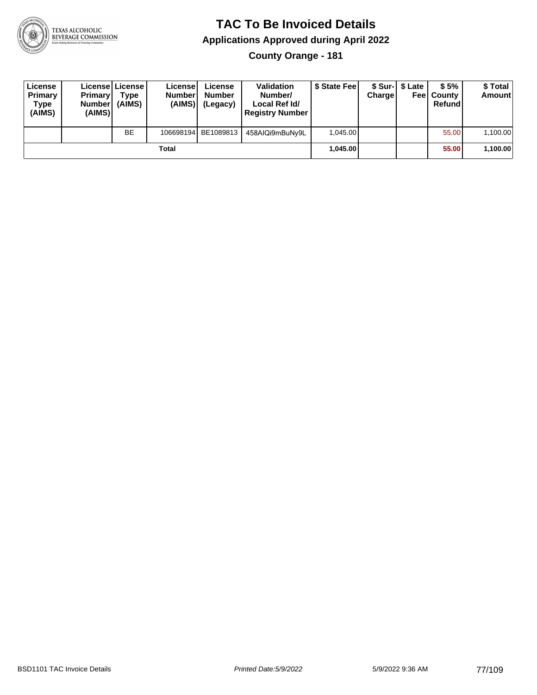

**County Orange - 181**

| License<br>Primary<br>Type<br>(AIMS) | <b>Primary</b><br><b>Number</b><br>(AIMS) | Licensel License I<br>Type<br>(AIMS) | License<br><b>Number</b><br>(AIMS) | License<br><b>Number</b><br>(Legacy) | <b>Validation</b><br>Number/<br>Local Ref Id/<br><b>Registry Number</b> | \$ State Fee | Charge | \$ Sur-1 \$ Late | \$5%<br><b>Feel County</b><br>Refund | \$ Total<br><b>Amount</b> |
|--------------------------------------|-------------------------------------------|--------------------------------------|------------------------------------|--------------------------------------|-------------------------------------------------------------------------|--------------|--------|------------------|--------------------------------------|---------------------------|
|                                      |                                           | <b>BE</b>                            |                                    | 106698194 BE1089813                  | 458AIQi9mBuNy9L                                                         | 1.045.00     |        |                  | 55.00                                | 1,100.00                  |
|                                      |                                           |                                      | Total                              |                                      |                                                                         | 1.045.00     |        |                  | 55.00                                | 1,100.00                  |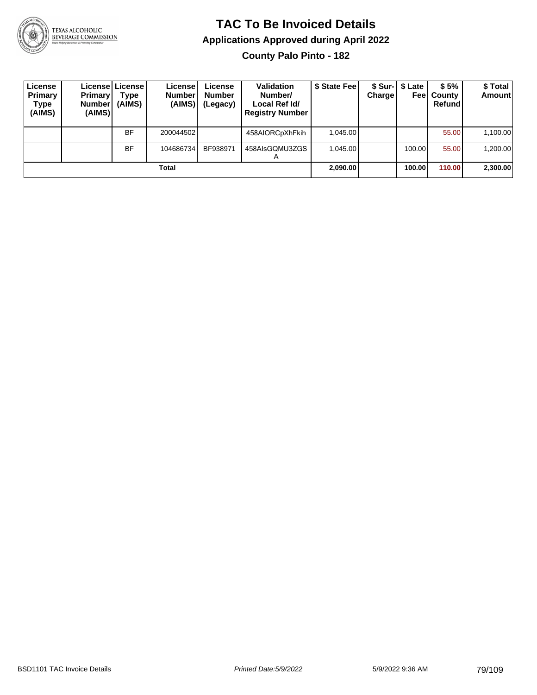

**County Palo Pinto - 182**

| License<br>Primary<br>Type<br>(AIMS) | <b>Primary</b><br><b>Number</b><br>(AIMS) | Licensel License I<br>Type<br>(AIMS) | License<br><b>Number</b><br>(AIMS) | License<br><b>Number</b><br>(Legacy) | <b>Validation</b><br>Number/<br>Local Ref Id/<br><b>Registry Number</b> | \$ State Feel | Charge | \$ Sur-1 \$ Late<br>Feel | \$5%<br>County<br>Refundl | \$Total<br><b>Amount</b> |
|--------------------------------------|-------------------------------------------|--------------------------------------|------------------------------------|--------------------------------------|-------------------------------------------------------------------------|---------------|--------|--------------------------|---------------------------|--------------------------|
|                                      |                                           | <b>BF</b>                            | 200044502                          |                                      | 458AIORCpXhFkih                                                         | 1.045.00      |        |                          | 55.00                     | 1,100.00                 |
|                                      |                                           | <b>BF</b>                            | 104686734                          | BF938971                             | 458AIsGQMU3ZGS<br>$\boldsymbol{\mathsf{A}}$                             | 1.045.00      |        | 100.00                   | 55.00                     | 1,200.00                 |
|                                      |                                           |                                      | Total                              |                                      |                                                                         | 2,090.00      |        | 100.00                   | 110.00                    | 2,300.00                 |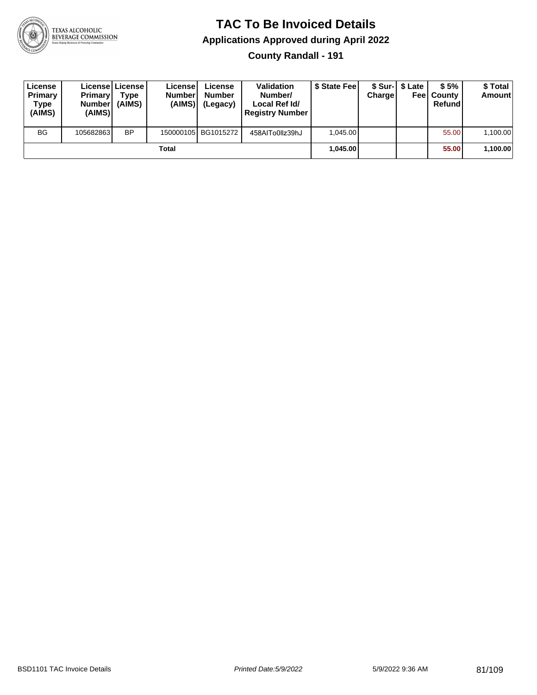

#### **TAC To Be Invoiced Details Applications Approved during April 2022 County Randall - 191**

| License<br>Primary<br><b>Type</b><br>(AIMS) | <b>Primary</b><br>Number<br>(AIMS) | Licensel License I<br>Type<br>(AIMS) | License<br><b>Number</b><br>(AIMS) | License<br><b>Number</b><br>(Legacy) | <b>Validation</b><br>Number/<br>Local Ref Id/<br><b>Registry Number</b> | \$ State Fee | <b>Charge</b> | \$ Sur-1 \$ Late | \$5%<br><b>Feel County</b><br>Refund | \$ Total<br><b>Amount</b> |
|---------------------------------------------|------------------------------------|--------------------------------------|------------------------------------|--------------------------------------|-------------------------------------------------------------------------|--------------|---------------|------------------|--------------------------------------|---------------------------|
| <b>BG</b>                                   | 105682863                          | <b>BP</b>                            |                                    | 150000105 BG1015272                  | 458AITo0IIz39hJ                                                         | 1.045.00     |               |                  | 55.00                                | 1.100.00                  |
|                                             |                                    |                                      | Total                              |                                      |                                                                         | 1,045.00     |               |                  | 55.00                                | 1,100.00                  |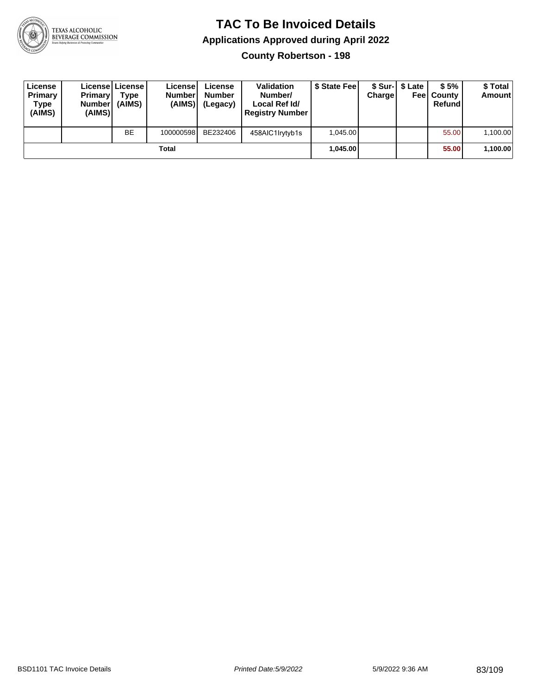

**County Robertson - 198**

| License<br>Primary<br>Type<br>(AIMS) | <b>Primary</b><br><b>Number</b><br>(AIMS) | License   License  <br>Type<br>(AIMS) | License<br><b>Number</b><br>(AIMS) | License<br><b>Number</b><br>(Legacy) | <b>Validation</b><br>Number/<br>Local Ref Id/<br><b>Registry Number</b> | \$ State Feel | Charge | \$ Sur-1 \$ Late | \$5%<br><b>Feel County</b><br>Refund | \$ Total<br>Amount |
|--------------------------------------|-------------------------------------------|---------------------------------------|------------------------------------|--------------------------------------|-------------------------------------------------------------------------|---------------|--------|------------------|--------------------------------------|--------------------|
|                                      |                                           | <b>BE</b>                             | 100000598                          | BE232406                             | 458AIC1Irytyb1s                                                         | 1.045.00      |        |                  | 55.00                                | 1,100.00           |
|                                      |                                           |                                       | Total                              |                                      |                                                                         | 1.045.00      |        |                  | 55.00                                | 1,100.00           |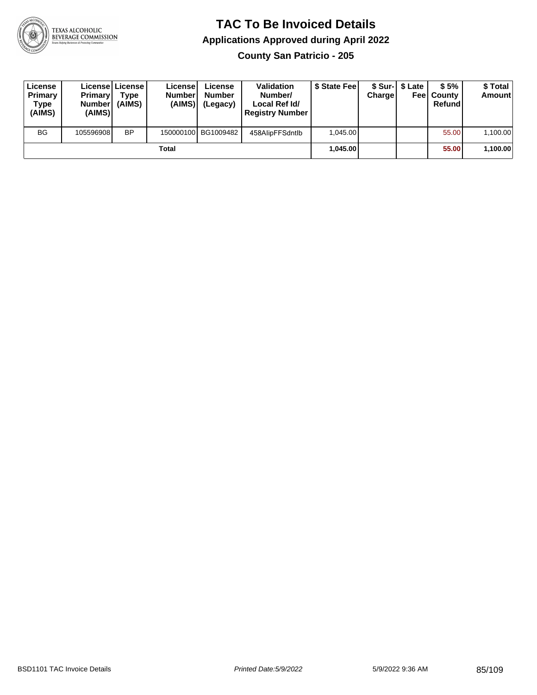

**County San Patricio - 205**

| License<br>Primary<br>Type<br>(AIMS) | <b>Primary</b><br><b>Number</b><br>(AIMS) | <b>Licensel License I</b><br>Type<br>(AIMS) | Licensel<br><b>Number</b><br>(AIMS) | License<br><b>Number</b><br>(Legacy) | <b>Validation</b><br>Number/<br>Local Ref Id/<br><b>Registry Number</b> | \$ State Feel | Charge | \$ Sur-1 \$ Late | \$5%<br><b>Feel County</b><br>Refund | \$ Total<br><b>Amount</b> |
|--------------------------------------|-------------------------------------------|---------------------------------------------|-------------------------------------|--------------------------------------|-------------------------------------------------------------------------|---------------|--------|------------------|--------------------------------------|---------------------------|
| <b>BG</b>                            | 105596908                                 | <b>BP</b>                                   |                                     | 150000100 BG1009482                  | 458AlipFFSdntlb                                                         | 1.045.00      |        |                  | 55.00                                | 1,100.00                  |
|                                      |                                           |                                             | Total                               |                                      |                                                                         | 1.045.00      |        |                  | 55.00                                | 1,100.00                  |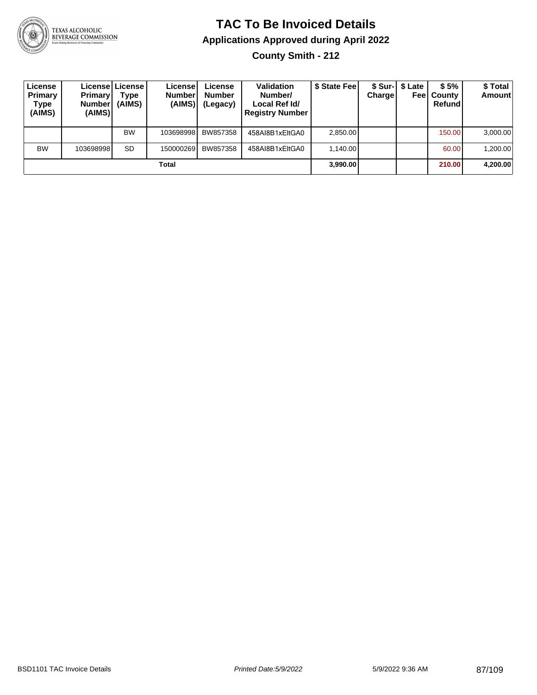

**County Smith - 212**

| License<br><b>Primary</b><br>Type<br>(AIMS) | <b>Primary</b><br><b>Number</b><br>(AIMS) | License License I<br>Type<br>(AIMS) | License<br><b>Number</b><br>(AIMS) | License<br><b>Number</b><br>(Legacy) | <b>Validation</b><br>Number/<br>Local Ref Id/<br><b>Registry Number</b> | \$ State Feel | Charge | \$ Sur-  \$ Late | \$5%<br><b>Feel County</b><br>Refund | \$ Total<br><b>Amount</b> |
|---------------------------------------------|-------------------------------------------|-------------------------------------|------------------------------------|--------------------------------------|-------------------------------------------------------------------------|---------------|--------|------------------|--------------------------------------|---------------------------|
|                                             |                                           | <b>BW</b>                           | 103698998                          | BW857358                             | 458AI8B1xEltGA0                                                         | 2.850.00      |        |                  | 150.00                               | 3,000.00                  |
| <b>BW</b>                                   | 103698998                                 | <b>SD</b>                           | 150000269                          | BW857358                             | 458AI8B1xEltGA0                                                         | 1.140.00      |        |                  | 60.00                                | 1,200.00                  |
|                                             |                                           |                                     | Total                              |                                      |                                                                         | 3,990.00      |        |                  | 210.00                               | 4,200.00                  |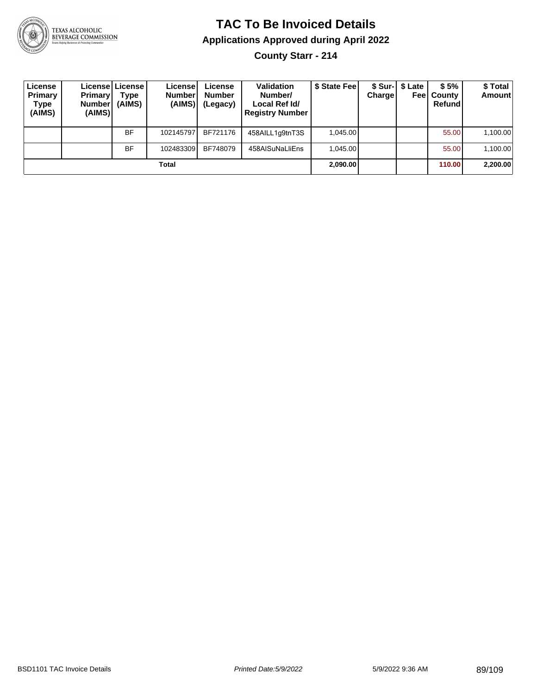

**County Starr - 214**

| License<br>Primary<br>Type<br>(AIMS) | <b>Primary</b><br><b>Number</b><br>(AIMS) | License License I<br>Type<br>(AIMS) | License<br><b>Number</b><br>(AIMS) | License<br><b>Number</b><br>(Legacy) | <b>Validation</b><br>Number/<br>Local Ref Id/<br><b>Registry Number</b> | \$ State Fee | Charge | \$ Sur-   \$ Late | \$5%<br><b>Feel County</b><br>Refund | \$ Total<br>Amount |
|--------------------------------------|-------------------------------------------|-------------------------------------|------------------------------------|--------------------------------------|-------------------------------------------------------------------------|--------------|--------|-------------------|--------------------------------------|--------------------|
|                                      |                                           | BF                                  | 102145797                          | BF721176                             | 458AILL1g9tnT3S                                                         | 1.045.00     |        |                   | 55.00                                | 1,100.00           |
|                                      |                                           | BF                                  | 102483309                          | BF748079                             | 458AISuNaLliEns                                                         | 1.045.00     |        |                   | 55.00                                | 1,100.00           |
|                                      |                                           |                                     | Total                              |                                      |                                                                         | 2,090.00     |        |                   | 110.00                               | 2,200.00           |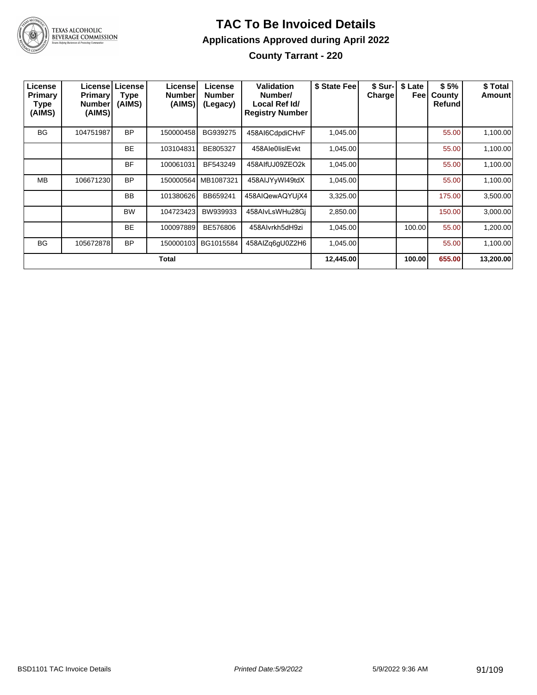

#### **TAC To Be Invoiced Details Applications Approved during April 2022 County Tarrant - 220**

| License<br>Primary<br>Type<br>(AIMS) | <b>Primary</b><br>Number<br>(AIMS) | License License<br><b>Type</b><br>(AIMS) | License<br><b>Number</b><br>(AIMS) | License<br><b>Number</b><br>(Legacy) | Validation<br>Number/<br>Local Ref Id/<br><b>Registry Number</b> | \$ State Fee | \$ Sur-<br><b>Charge</b> | \$ Late<br>Feel | \$5%<br>County<br><b>Refund</b> | \$ Total<br>Amount |
|--------------------------------------|------------------------------------|------------------------------------------|------------------------------------|--------------------------------------|------------------------------------------------------------------|--------------|--------------------------|-----------------|---------------------------------|--------------------|
| <b>BG</b>                            | 104751987                          | <b>BP</b>                                | 150000458                          | BG939275                             | 458AI6CdpdiCHvF                                                  | 1,045.00     |                          |                 | 55.00                           | 1,100.00           |
|                                      |                                    | <b>BE</b>                                | 103104831                          | BE805327                             | 458Ale0lislEvkt                                                  | 1,045.00     |                          |                 | 55.00                           | 1,100.00           |
|                                      |                                    | <b>BF</b>                                | 100061031                          | BF543249                             | 458AlfUJ09ZEO2k                                                  | 1,045.00     |                          |                 | 55.00                           | 1,100.00           |
| <b>MB</b>                            | 106671230                          | <b>BP</b>                                | 150000564                          | MB1087321                            | 458AIJYyWI49tdX                                                  | 1,045.00     |                          |                 | 55.00                           | 1,100.00           |
|                                      |                                    | <b>BB</b>                                | 101380626                          | BB659241                             | 458AIQewAQYUjX4                                                  | 3,325.00     |                          |                 | 175.00                          | 3,500.00           |
|                                      |                                    | <b>BW</b>                                | 104723423                          | BW939933                             | 458AlvLsWHu28Gi                                                  | 2,850.00     |                          |                 | 150.00                          | 3,000.00           |
|                                      |                                    | <b>BE</b>                                | 100097889                          | BE576806                             | 458Alvrkh5dH9zi                                                  | 1,045.00     |                          | 100.00          | 55.00                           | 1,200.00           |
| <b>BG</b>                            | 105672878                          | <b>BP</b>                                | 150000103                          | BG1015584                            | 458AIZq6qU0Z2H6                                                  | 1,045.00     |                          |                 | 55.00                           | 1,100.00           |
|                                      |                                    |                                          | Total                              |                                      |                                                                  | 12,445.00    |                          | 100.00          | 655.00                          | 13,200.00          |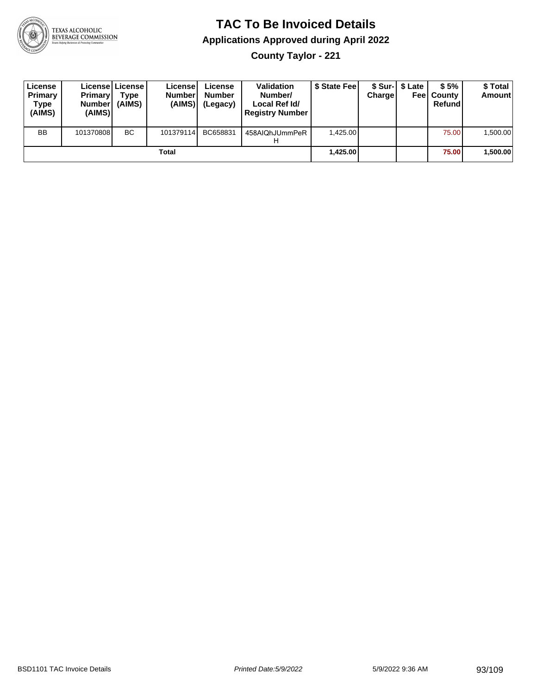

**County Taylor - 221**

| License<br>Primary<br>Type<br>(AIMS) | <b>Primary</b><br>Number<br>(AIMS) | License   License  <br>Type<br>(AIMS) | Licensel<br><b>Number</b><br>(AIMS) | License<br><b>Number</b><br>(Legacy) | <b>Validation</b><br>Number/<br>Local Ref Id/<br><b>Registry Number</b> | \$ State Fee | Charge | \$ Sur-1 \$ Late | \$5%<br><b>Feel County</b><br>Refund | \$ Total<br><b>Amount</b> |
|--------------------------------------|------------------------------------|---------------------------------------|-------------------------------------|--------------------------------------|-------------------------------------------------------------------------|--------------|--------|------------------|--------------------------------------|---------------------------|
| <b>BB</b>                            | 101370808                          | <b>BC</b>                             | 101379114                           | BC658831                             | 458AIQhJUmmPeR<br>п                                                     | 1.425.00     |        |                  | 75.00                                | .500.00                   |
|                                      |                                    |                                       | Total                               |                                      |                                                                         | 1,425.00     |        |                  | 75.00                                | 1,500.00                  |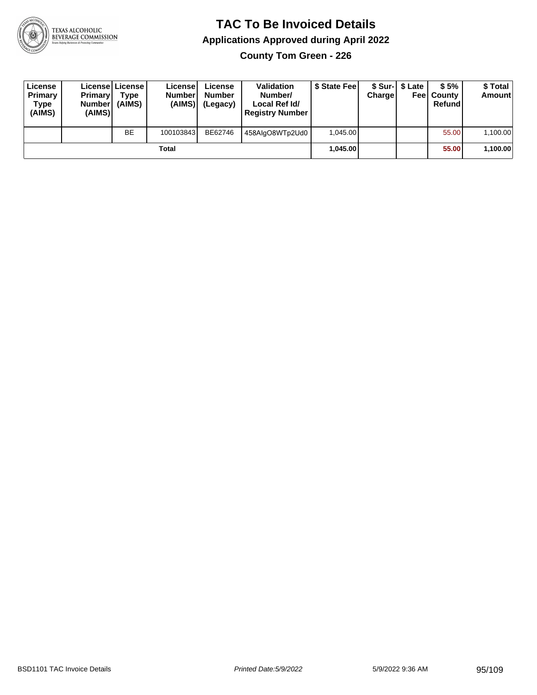

**County Tom Green - 226**

| License<br>Primary<br>Type<br>(AIMS) | <b>Primary</b><br>Number<br>(AIMS) | Licensel License<br>Type<br>(AIMS) | License<br><b>Number</b><br>(AIMS) | License<br><b>Number</b><br>(Legacy) | <b>Validation</b><br>Number/<br>Local Ref Id/<br><b>Registry Number</b> | \$ State Fee | Charge | \$ Sur-1 \$ Late | \$5%<br><b>Feel County</b><br>Refund | \$ Total<br><b>Amount</b> |
|--------------------------------------|------------------------------------|------------------------------------|------------------------------------|--------------------------------------|-------------------------------------------------------------------------|--------------|--------|------------------|--------------------------------------|---------------------------|
|                                      |                                    | <b>BE</b>                          | 100103843                          | BE62746                              | 458AlgO8WTp2Ud0                                                         | 1.045.00     |        |                  | 55.00                                | 1,100.00                  |
|                                      |                                    |                                    | Total                              |                                      |                                                                         | 1.045.00     |        |                  | 55.00                                | 1,100.00                  |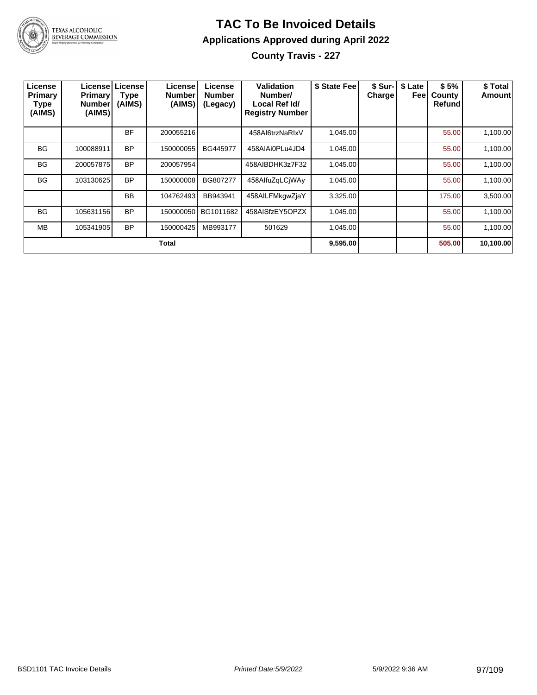

**County Travis - 227**

| License<br>Primary<br><b>Type</b><br>(AIMS) | <b>Primary!</b><br>Number<br>(AIMS) | License   License  <br><b>Type</b><br>(AIMS) | License<br>Number<br>(AIMS) | License<br><b>Number</b><br>(Legacy) | <b>Validation</b><br>Number/<br>Local Ref Id/<br><b>Registry Number</b> | \$ State Fee | <b>Charge!</b> | \$ Sur-   \$ Late<br>Feel | \$5%<br>County<br>Refund | \$ Total<br><b>Amount</b> |
|---------------------------------------------|-------------------------------------|----------------------------------------------|-----------------------------|--------------------------------------|-------------------------------------------------------------------------|--------------|----------------|---------------------------|--------------------------|---------------------------|
|                                             |                                     | BF                                           | 200055216                   |                                      | 458Al6trzNaRIxV                                                         | 1,045.00     |                |                           | 55.00                    | 1,100.00                  |
| <b>BG</b>                                   | 100088911                           | <b>BP</b>                                    | 150000055                   | BG445977                             | 458AIAi0PLu4JD4                                                         | 1,045.00     |                |                           | 55.00                    | 1,100.00                  |
| <b>BG</b>                                   | 200057875                           | <b>BP</b>                                    | 200057954                   |                                      | 458AIBDHK3z7F32                                                         | 1,045.00     |                |                           | 55.00                    | 1,100.00                  |
| <b>BG</b>                                   | 103130625                           | <b>BP</b>                                    | 150000008                   | BG807277                             | 458AlfuZqLCjWAy                                                         | 1,045.00     |                |                           | 55.00                    | 1,100.00                  |
|                                             |                                     | <b>BB</b>                                    | 104762493                   | BB943941                             | 458AILFMkgwZjaY                                                         | 3,325.00     |                |                           | 175.00                   | 3,500.00                  |
| <b>BG</b>                                   | 105631156                           | <b>BP</b>                                    | 150000050                   | BG1011682                            | 458AISfzEY5OPZX                                                         | 1,045.00     |                |                           | 55.00                    | 1,100.00                  |
| <b>MB</b>                                   | 105341905                           | <b>BP</b>                                    | 150000425                   | MB993177                             | 501629                                                                  | 1,045.00     |                |                           | 55.00                    | 1,100.00                  |
| Total                                       |                                     |                                              |                             |                                      |                                                                         |              |                |                           | 505.00                   | 10,100.00                 |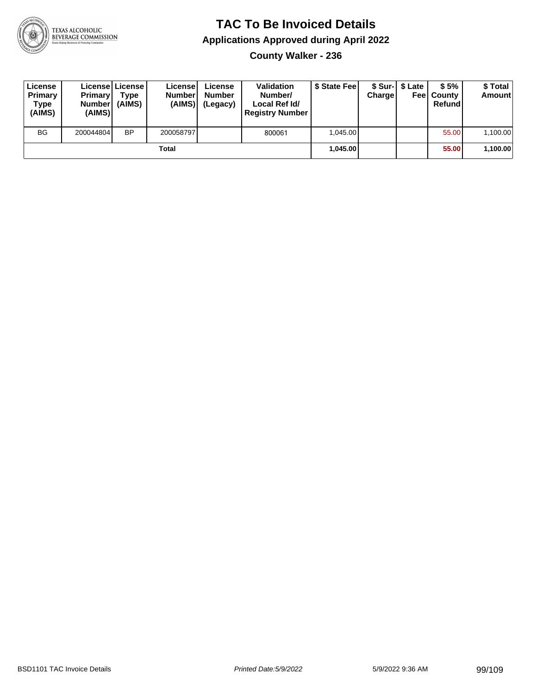

**County Walker - 236**

| License<br>Primary<br>Type<br>(AIMS) | <b>Primary</b><br><b>Number</b><br>(AIMS) | Licensel License I<br>Type<br>(AIMS) | Licensel<br><b>Number</b><br>(AIMS) | License<br><b>Number</b><br>(Legacy) | <b>Validation</b><br>Number/<br>Local Ref Id/<br><b>Registry Number</b> | \$ State Feel | Charge | \$ Sur-1 \$ Late | \$5%<br><b>Feel County</b><br>Refund | \$ Total<br><b>Amount</b> |
|--------------------------------------|-------------------------------------------|--------------------------------------|-------------------------------------|--------------------------------------|-------------------------------------------------------------------------|---------------|--------|------------------|--------------------------------------|---------------------------|
| <b>BG</b>                            | 200044804                                 | <b>BP</b>                            | 200058797                           |                                      | 800061                                                                  | 1.045.00      |        |                  | 55.00                                | 1,100.00                  |
| Total                                |                                           |                                      |                                     |                                      |                                                                         | 1,045.00      |        |                  | 55.00                                | 1,100.00                  |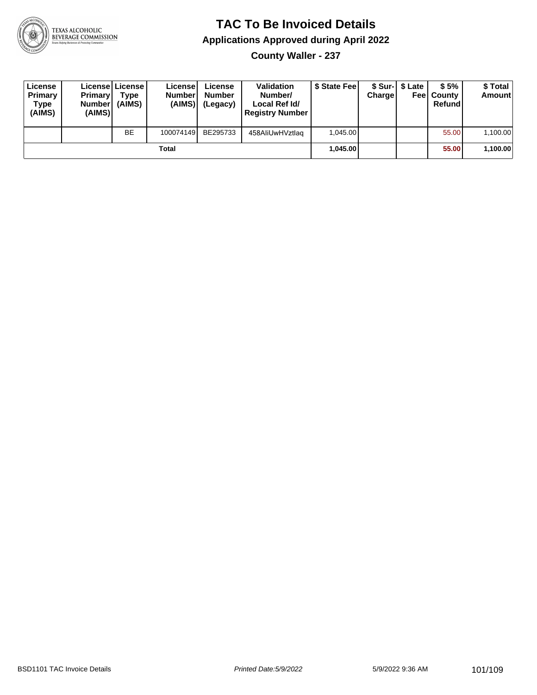

**County Waller - 237**

| License<br>Primary<br>Type<br>(AIMS) | <b>Primary</b><br>Number<br>(AIMS) | License   License  <br>Type<br>(AIMS) | Licensel<br><b>Number</b><br>(AIMS) | License<br><b>Number</b><br>(Legacy) | <b>Validation</b><br>Number/<br>Local Ref Id/<br><b>Registry Number</b> | \$ State Feel | Charge | \$ Sur-1 \$ Late | \$5%<br><b>Feel County</b><br>Refund | \$ Total<br><b>Amount</b> |
|--------------------------------------|------------------------------------|---------------------------------------|-------------------------------------|--------------------------------------|-------------------------------------------------------------------------|---------------|--------|------------------|--------------------------------------|---------------------------|
|                                      |                                    | <b>BE</b>                             | 100074149                           | BE295733                             | 458AliUwHVztlag                                                         | 1.045.00      |        |                  | 55.00                                | 1,100.00                  |
| Total                                |                                    |                                       |                                     |                                      |                                                                         | 1.045.00      |        |                  | 55.00                                | 1,100.00                  |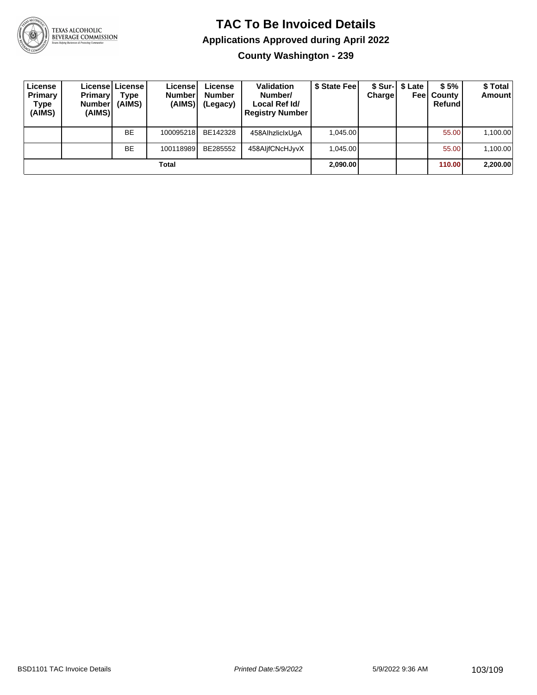

**County Washington - 239**

| License<br>Primary<br>Type<br>(AIMS) | <b>Primary</b><br>Number <br>(AIMS) | License   License  <br>Type<br>(AIMS) | Licensel<br><b>Number</b><br>(AIMS) | License<br><b>Number</b><br>(Legacy) | <b>Validation</b><br>Number/<br>Local Ref Id/<br><b>Registry Number</b> | \$ State Fee | Charge | \$ Sur-1 \$ Late<br>Feel | \$5%<br>County<br>Refund | \$Total<br><b>Amount</b> |
|--------------------------------------|-------------------------------------|---------------------------------------|-------------------------------------|--------------------------------------|-------------------------------------------------------------------------|--------------|--------|--------------------------|--------------------------|--------------------------|
|                                      |                                     | <b>BE</b>                             | 100095218                           | BE142328                             | 458AlhzliclxUqA                                                         | 1.045.00     |        |                          | 55.00                    | 1,100.00                 |
|                                      |                                     | <b>BE</b>                             | 100118989                           | BE285552                             | 458AljfCNcHJyvX                                                         | 1.045.00     |        |                          | 55.00                    | 1,100.00                 |
| Total                                |                                     |                                       |                                     |                                      |                                                                         |              |        |                          | 110.00                   | 2,200.00                 |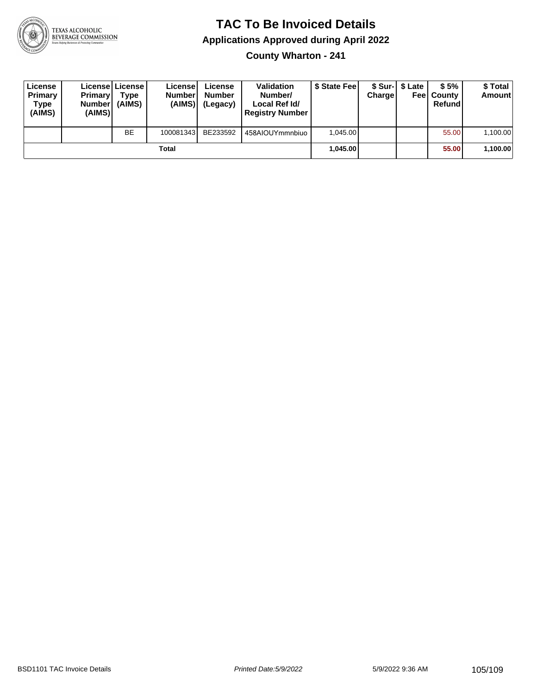

#### **TAC To Be Invoiced Details Applications Approved during April 2022 County Wharton - 241**

| License<br>Primary<br>Type<br>(AIMS) | <b>Primary</b><br><b>Number</b><br>(AIMS) | License   License  <br>Type<br>(AIMS) | Licensel<br><b>Number</b><br>(AIMS) | License<br><b>Number</b><br>(Legacy) | <b>Validation</b><br>Number/<br>Local Ref Id/<br><b>Registry Number</b> | \$ State Fee | <b>Charge</b> | \$ Sur-I \$ Late | \$5%<br><b>Feel County</b><br><b>Refund</b> | \$ Total<br><b>Amount</b> |
|--------------------------------------|-------------------------------------------|---------------------------------------|-------------------------------------|--------------------------------------|-------------------------------------------------------------------------|--------------|---------------|------------------|---------------------------------------------|---------------------------|
|                                      |                                           | <b>BE</b>                             | 100081343                           | BE233592                             | 458AIOUYmmnbiuo                                                         | 1.045.00     |               |                  | 55.00                                       | 1,100.00                  |
| Total                                |                                           |                                       |                                     |                                      |                                                                         | 1,045.00     |               |                  | 55.00                                       | 1,100.00                  |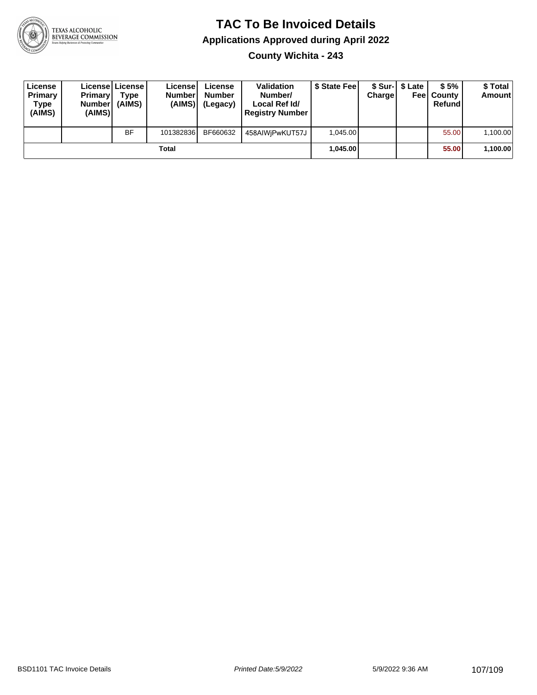

**County Wichita - 243**

| License<br>Primary<br>Type<br>(AIMS) | <b>Primary</b><br><b>Number</b><br>(AIMS) | Licensel License I<br>Type<br>(AIMS) | License<br><b>Number</b><br>(AIMS) | License<br><b>Number</b><br>(Legacy) | <b>Validation</b><br>Number/<br>Local Ref Id/<br><b>Registry Number</b> | \$ State Fee | Charge | \$ Sur-1 \$ Late | \$5%<br><b>Feel County</b><br>Refund | \$ Total<br><b>Amount</b> |
|--------------------------------------|-------------------------------------------|--------------------------------------|------------------------------------|--------------------------------------|-------------------------------------------------------------------------|--------------|--------|------------------|--------------------------------------|---------------------------|
|                                      |                                           | <b>BF</b>                            | 101382836                          | BF660632                             | 458AIWjPwKUT57J                                                         | 1.045.00     |        |                  | 55.00                                | 1,100.00                  |
| Total                                |                                           |                                      |                                    |                                      |                                                                         | 1.045.00     |        |                  | 55.00                                | 1,100.00                  |